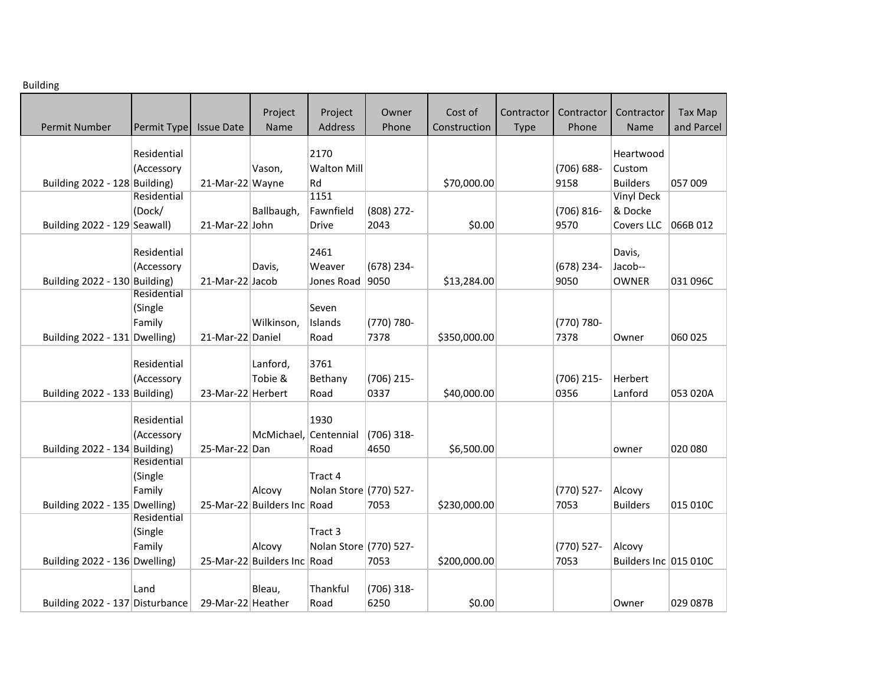## Building

|                                 |             |                   | Project                     | Project                | Owner        | Cost of      | Contractor | Contractor    | Contractor            | <b>Tax Map</b> |
|---------------------------------|-------------|-------------------|-----------------------------|------------------------|--------------|--------------|------------|---------------|-----------------------|----------------|
| <b>Permit Number</b>            | Permit Type | <b>Issue Date</b> | Name                        | Address                | Phone        | Construction | Type       | Phone         | <b>Name</b>           | and Parcel     |
|                                 |             |                   |                             |                        |              |              |            |               |                       |                |
|                                 | Residential |                   |                             | 2170                   |              |              |            |               | Heartwood             |                |
|                                 | (Accessory  |                   | Vason,                      | <b>Walton Mill</b>     |              |              |            | $(706) 688 -$ | Custom                |                |
| Building 2022 - 128 Building)   |             | 21-Mar-22 Wayne   |                             | Rd                     |              | \$70,000.00  |            | 9158          | <b>Builders</b>       | 057 009        |
|                                 | Residential |                   |                             | 1151                   |              |              |            |               | <b>Vinyl Deck</b>     |                |
|                                 | (Dock/      |                   | Ballbaugh,                  | Fawnfield              | (808) 272-   |              |            | $(706) 816 -$ | & Docke               |                |
| Building 2022 - 129 Seawall)    |             | 21-Mar-22 John    |                             | Drive                  | 2043         | \$0.00       |            | 9570          | Covers LLC            | 066B 012       |
|                                 | Residential |                   |                             | 2461                   |              |              |            |               | Davis,                |                |
|                                 | (Accessory  |                   | Davis,                      | Weaver                 | $(678)$ 234- |              |            | $(678)$ 234-  | Jacob--               |                |
| Building 2022 - 130 Building)   |             | 21-Mar-22 Jacob   |                             | Jones Road 9050        |              | \$13,284.00  |            | 9050          | <b>OWNER</b>          | 031 096C       |
|                                 | Residential |                   |                             |                        |              |              |            |               |                       |                |
|                                 | (Single     |                   |                             | Seven                  |              |              |            |               |                       |                |
|                                 | Family      |                   | Wilkinson,                  | Islands                | (770) 780-   |              |            | (770) 780-    |                       |                |
| Building 2022 - 131 Dwelling)   |             | 21-Mar-22 Daniel  |                             | Road                   | 7378         | \$350,000.00 |            | 7378          | Owner                 | 060 025        |
|                                 |             |                   |                             |                        |              |              |            |               |                       |                |
|                                 | Residential |                   | Lanford,                    | 3761                   |              |              |            |               |                       |                |
|                                 | (Accessory  |                   | Tobie &                     | Bethany                | (706) 215-   |              |            | $(706)$ 215-  | Herbert               |                |
| Building 2022 - 133 Building)   |             | 23-Mar-22 Herbert |                             | Road                   | 0337         | \$40,000.00  |            | 0356          | Lanford               | 053 020A       |
|                                 |             |                   |                             |                        |              |              |            |               |                       |                |
|                                 | Residential |                   |                             | 1930                   |              |              |            |               |                       |                |
|                                 | (Accessory  |                   | McMichael. Centennial       |                        | $(706)$ 318- |              |            |               |                       |                |
| Building $2022 - 134$ Building) |             | 25-Mar-22 Dan     |                             | Road                   | 4650         | \$6,500.00   |            |               | owner                 | 020 080        |
|                                 | Residential |                   |                             |                        |              |              |            |               |                       |                |
|                                 | (Single     |                   |                             | Tract 4                |              |              |            |               |                       |                |
|                                 | Family      |                   | Alcovy                      | Nolan Store (770) 527- |              |              |            | (770) 527-    | Alcovy                |                |
| Building 2022 - 135 Dwelling)   |             |                   | 25-Mar-22 Builders Inc Road |                        | 7053         | \$230,000.00 |            | 7053          | <b>Builders</b>       | 015 010C       |
|                                 | Residential |                   |                             |                        |              |              |            |               |                       |                |
|                                 | (Single     |                   |                             | Tract 3                |              |              |            |               |                       |                |
|                                 | Family      |                   | Alcovy                      | Nolan Store (770) 527- |              |              |            | $(770)$ 527-  | Alcovy                |                |
| Building 2022 - 136 Dwelling)   |             |                   | 25-Mar-22 Builders Inc Road |                        | 7053         | \$200,000.00 |            | 7053          | Builders Inc 015 010C |                |
|                                 | Land        |                   | Bleau,                      | Thankful               | (706) 318-   |              |            |               |                       |                |
| Building 2022 - 137 Disturbance |             | 29-Mar-22 Heather |                             | Road                   | 6250         | \$0.00       |            |               | Owner                 | 029 087B       |
|                                 |             |                   |                             |                        |              |              |            |               |                       |                |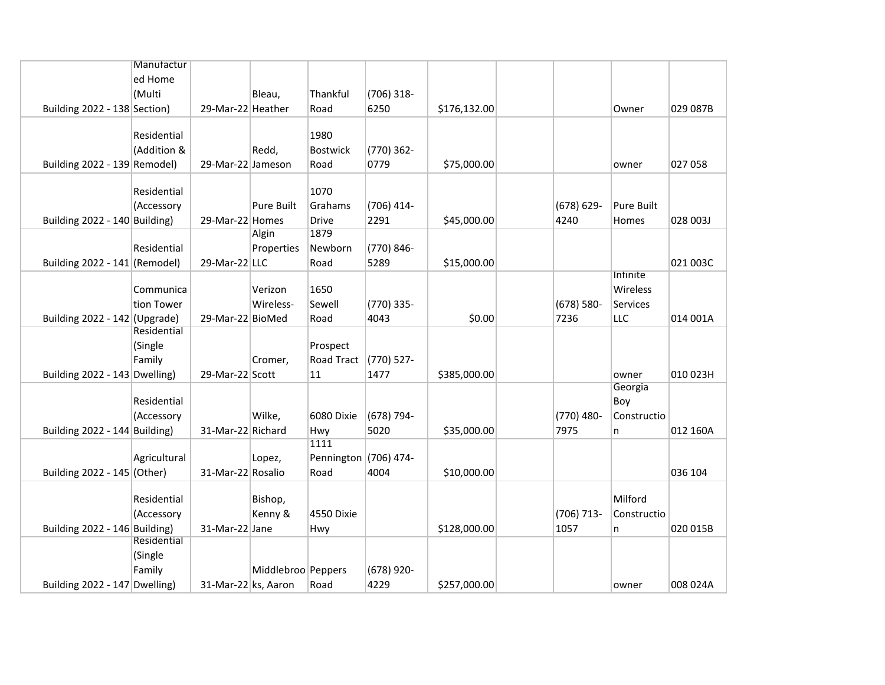|                                 | Manutactur   |                     |                    |                       |              |              |               |                   |          |
|---------------------------------|--------------|---------------------|--------------------|-----------------------|--------------|--------------|---------------|-------------------|----------|
|                                 | ed Home      |                     |                    |                       |              |              |               |                   |          |
|                                 | (Multi       |                     | Bleau,             | Thankful              | $(706)$ 318- |              |               |                   |          |
| Building 2022 - 138 Section)    |              | 29-Mar-22 Heather   |                    | Road                  | 6250         | \$176,132.00 |               | Owner             | 029 087B |
|                                 |              |                     |                    |                       |              |              |               |                   |          |
|                                 | Residential  |                     |                    | 1980                  |              |              |               |                   |          |
|                                 | (Addition &  |                     | Redd,              | Bostwick              | (770) 362-   |              |               |                   |          |
| Building 2022 - 139 Remodel)    |              | 29-Mar-22 Jameson   |                    | Road                  | 0779         | \$75,000.00  |               | owner             | 027 058  |
|                                 | Residential  |                     |                    | 1070                  |              |              |               |                   |          |
|                                 | (Accessory   |                     | Pure Built         | Grahams               | $(706)$ 414- |              | $(678) 629 -$ | <b>Pure Built</b> |          |
|                                 |              | 29-Mar-22 Homes     |                    | <b>Drive</b>          | 2291         |              | 4240          |                   |          |
| Building 2022 - 140 Building)   |              |                     | Algin              | 1879                  |              | \$45,000.00  |               | Homes             | 028 003J |
|                                 | Residential  |                     | Properties         | Newborn               | (770) 846-   |              |               |                   |          |
|                                 |              | 29-Mar-22 LLC       |                    | Road                  | 5289         | \$15,000.00  |               |                   | 021 003C |
| Building $2022 - 141$ (Remodel) |              |                     |                    |                       |              |              |               | Infinite          |          |
|                                 | Communica    |                     | Verizon            | 1650                  |              |              |               | Wireless          |          |
|                                 | tion Tower   |                     | Wireless-          | Sewell                | (770) 335-   |              | $(678)$ 580-  | Services          |          |
| Building 2022 - 142 (Upgrade)   |              | 29-Mar-22 BioMed    |                    | Road                  | 4043         | \$0.00       | 7236          | <b>LLC</b>        | 014 001A |
|                                 | Residential  |                     |                    |                       |              |              |               |                   |          |
|                                 | (Single      |                     |                    | Prospect              |              |              |               |                   |          |
|                                 | Family       |                     | Cromer,            | Road Tract            | (770) 527-   |              |               |                   |          |
| Building 2022 - 143 Dwelling)   |              | 29-Mar-22 Scott     |                    | 11                    | 1477         | \$385,000.00 |               | owner             | 010 023H |
|                                 |              |                     |                    |                       |              |              |               | Georgia           |          |
|                                 | Residential  |                     |                    |                       |              |              |               | Boy               |          |
|                                 | (Accessory   |                     | Wilke,             | 6080 Dixie            | (678) 794-   |              | (770) 480-    | Constructio       |          |
| Building $2022 - 144$ Building) |              | 31-Mar-22 Richard   |                    | Hwy                   | 5020         | \$35,000.00  | 7975          | n                 | 012 160A |
|                                 |              |                     |                    | 1111                  |              |              |               |                   |          |
|                                 | Agricultural |                     | Lopez,             | Pennington (706) 474- |              |              |               |                   |          |
| Building 2022 - 145 (Other)     |              | 31-Mar-22 Rosalio   |                    | Road                  | 4004         | \$10,000.00  |               |                   | 036 104  |
|                                 |              |                     |                    |                       |              |              |               |                   |          |
|                                 | Residential  |                     | Bishop,            |                       |              |              |               | Milford           |          |
|                                 | (Accessory   |                     | Kenny &            | 4550 Dixie            |              |              | (706) 713-    | Constructio       |          |
| Building 2022 - 146 Building)   |              | 31-Mar-22 Jane      |                    | Hwy                   |              | \$128,000.00 | 1057          | n                 | 020 015B |
|                                 | Residential  |                     |                    |                       |              |              |               |                   |          |
|                                 | (Single      |                     |                    |                       |              |              |               |                   |          |
|                                 | Family       |                     | Middlebroo Peppers |                       | (678) 920-   |              |               |                   |          |
| Building 2022 - 147 Dwelling)   |              | 31-Mar-22 ks, Aaron |                    | Road                  | 4229         | \$257,000.00 |               | owner             | 008 024A |
|                                 |              |                     |                    |                       |              |              |               |                   |          |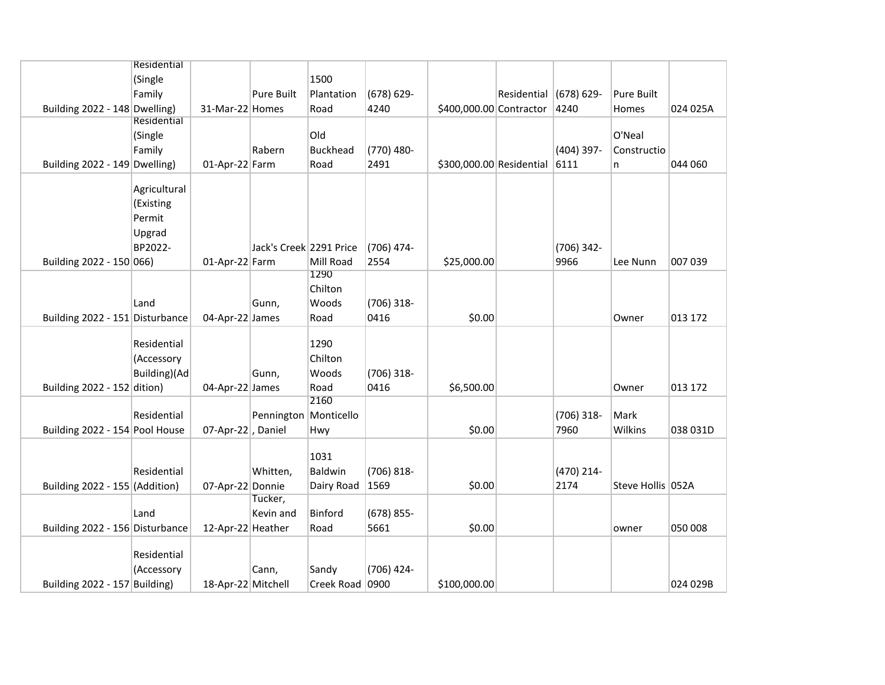|                                 | Residential                                   |                    |                         |                                  |                       |                          |             |                    |                   |          |
|---------------------------------|-----------------------------------------------|--------------------|-------------------------|----------------------------------|-----------------------|--------------------------|-------------|--------------------|-------------------|----------|
|                                 | (Single                                       |                    |                         | 1500                             |                       |                          |             |                    |                   |          |
|                                 | Family                                        |                    | Pure Built              | Plantation                       | (678) 629-            |                          | Residential | (678) 629-         | Pure Built        |          |
| Building 2022 - 148 Dwelling)   |                                               | 31-Mar-22 Homes    |                         | Road                             | 4240                  | \$400,000.00 Contractor  |             | 4240               | Homes             | 024 025A |
|                                 | Residential                                   |                    |                         |                                  |                       |                          |             |                    |                   |          |
|                                 | (Single                                       |                    |                         | Old                              |                       |                          |             |                    | O'Neal            |          |
|                                 | Family                                        |                    | Rabern                  | Buckhead                         | (770) 480-            |                          |             | (404) 397-         | Constructio       |          |
| Building 2022 - 149 Dwelling)   |                                               | 01-Apr-22 Farm     |                         | Road                             | 2491                  | \$300,000.00 Residential |             | 6111               | n                 | 044 060  |
|                                 | Agricultural<br>(Existing<br>Permit<br>Upgrad |                    |                         |                                  |                       |                          |             |                    |                   |          |
|                                 | BP2022-                                       |                    | Jack's Creek 2291 Price |                                  | (706) 474-            |                          |             | (706) 342-         |                   |          |
| Building 2022 - 150 066)        |                                               | 01-Apr-22 Farm     |                         | Mill Road                        | 2554                  | \$25,000.00              |             | 9966               | Lee Nunn          | 007 039  |
|                                 | Land                                          |                    | Gunn,                   | 1290<br>Chilton<br>Woods         | $(706)$ 318-          |                          |             |                    |                   |          |
| Building 2022 - 151 Disturbance |                                               | 04-Apr-22 James    |                         | Road                             | 0416                  | \$0.00                   |             |                    | Owner             | 013 172  |
| Building $2022 - 152$ dition)   | Residential<br>(Accessory<br>Building)(Ad     | 04-Apr-22 James    | Gunn,                   | 1290<br>Chilton<br>Woods<br>Road | $(706)$ 318-<br>0416  | \$6,500.00               |             |                    | Owner             | 013 172  |
|                                 |                                               |                    |                         | 2160                             |                       |                          |             |                    |                   |          |
|                                 | Residential                                   |                    | Pennington Monticello   |                                  |                       |                          |             | $(706)$ 318-       | Mark              |          |
| Building 2022 - 154 Pool House  |                                               | 07-Apr-22, Daniel  |                         | Hwy                              |                       | \$0.00                   |             | 7960               | Wilkins           | 038 031D |
| Building 2022 - 155 (Addition)  | Residential                                   | 07-Apr-22 Donnie   | Whitten,                | 1031<br>Baldwin<br>Dairy Road    | $(706) 818 -$<br>1569 | \$0.00                   |             | (470) 214-<br>2174 | Steve Hollis 052A |          |
|                                 |                                               |                    | Tucker,                 |                                  |                       |                          |             |                    |                   |          |
|                                 | Land                                          |                    | Kevin and               | Binford                          | $(678)$ 855-          |                          |             |                    |                   |          |
| Building 2022 - 156 Disturbance |                                               | 12-Apr-22 Heather  |                         | Road                             | 5661                  | \$0.00                   |             |                    | owner             | 050 008  |
| Building 2022 - 157 Building)   | Residential<br>(Accessory                     | 18-Apr-22 Mitchell | Cann,                   | Sandy<br>Creek Road 0900         | (706) 424-            | \$100,000.00             |             |                    |                   | 024 029B |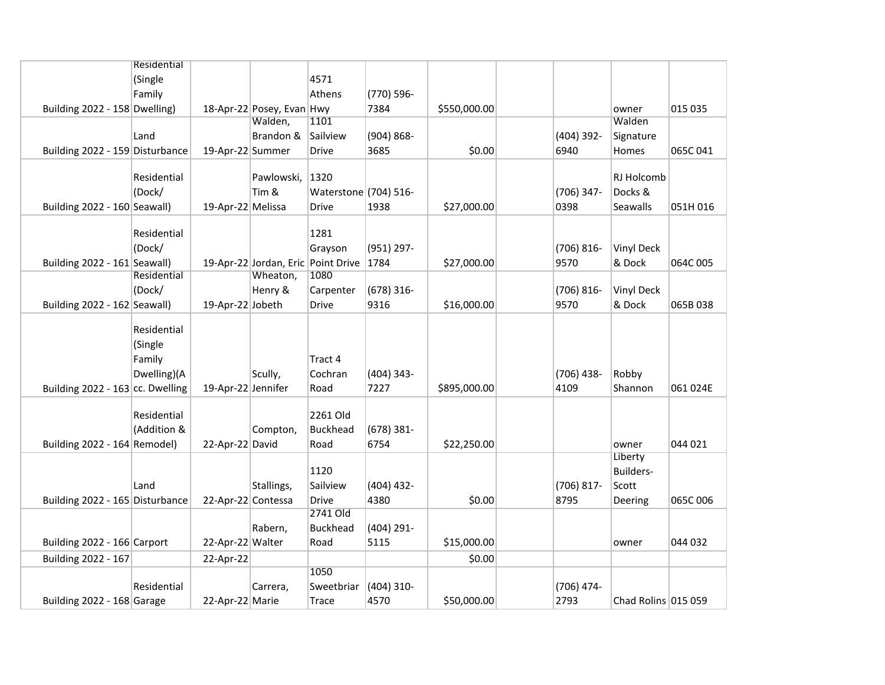|                                  | Residential |                    |                           |                       |               |              |               |                     |          |
|----------------------------------|-------------|--------------------|---------------------------|-----------------------|---------------|--------------|---------------|---------------------|----------|
|                                  | (Single     |                    |                           | 4571                  |               |              |               |                     |          |
|                                  | Family      |                    |                           | Athens                | (770) 596-    |              |               |                     |          |
| Building 2022 - 158 Dwelling)    |             |                    | 18-Apr-22 Posey, Evan Hwy |                       | 7384          | \$550,000.00 |               | owner               | 015 035  |
|                                  |             |                    | Walden,                   | 1101                  |               |              |               | Walden              |          |
|                                  | Land        |                    | Brandon &                 | Sailview              | $(904) 868 -$ |              | $(404)$ 392-  | Signature           |          |
| Building 2022 - 159 Disturbance  |             | 19-Apr-22 Summer   |                           | Drive                 | 3685          | \$0.00       | 6940          | Homes               | 065C 041 |
|                                  |             |                    |                           |                       |               |              |               |                     |          |
|                                  | Residential |                    | Pawlowski,                | 1320                  |               |              |               | RJ Holcomb          |          |
|                                  | (Dock/      |                    | Tim &                     | Waterstone (704) 516- |               |              | (706) 347-    | Docks &             |          |
| Building 2022 - 160 Seawall)     |             | 19-Apr-22 Melissa  |                           | Drive                 | 1938          | \$27,000.00  | 0398          | Seawalls            | 051H 016 |
|                                  |             |                    |                           |                       |               |              |               |                     |          |
|                                  | Residential |                    |                           | 1281                  |               |              |               |                     |          |
|                                  | (Dock/      |                    |                           | Grayson               | (951) 297-    |              | $(706) 816 -$ | <b>Vinyl Deck</b>   |          |
| Building $2022 - 161$ Seawall)   |             |                    | 19-Apr-22 Jordan, Eric    | Point Drive           | 1784          | \$27,000.00  | 9570          | & Dock              | 064C 005 |
|                                  | Residential |                    | Wheaton,                  | 1080                  |               |              |               |                     |          |
|                                  | (Dock/      |                    | Henry &                   | Carpenter             | $(678)$ 316-  |              | (706) 816-    | <b>Vinyl Deck</b>   |          |
| Building $2022 - 162$ Seawall)   |             | 19-Apr-22 Jobeth   |                           | Drive                 | 9316          | \$16,000.00  | 9570          | & Dock              | 065B 038 |
|                                  | Residential |                    |                           |                       |               |              |               |                     |          |
|                                  | (Single     |                    |                           |                       |               |              |               |                     |          |
|                                  | Family      |                    |                           | Tract 4               |               |              |               |                     |          |
|                                  | Dwelling)(A |                    | Scully,                   | Cochran               | $(404)$ 343-  |              | (706) 438-    | Robby               |          |
| Building 2022 - 163 cc. Dwelling |             | 19-Apr-22 Jennifer |                           | Road                  | 7227          | \$895,000.00 | 4109          | Shannon             | 061 024E |
|                                  |             |                    |                           |                       |               |              |               |                     |          |
|                                  | Residential |                    |                           | 2261 Old              |               |              |               |                     |          |
|                                  | (Addition & |                    | Compton,                  | <b>Buckhead</b>       | $(678)$ 381-  |              |               |                     |          |
| Building 2022 - 164 Remodel)     |             | 22-Apr-22 David    |                           | Road                  | 6754          | \$22,250.00  |               | owner               | 044 021  |
|                                  |             |                    |                           |                       |               |              |               | Liberty             |          |
|                                  |             |                    |                           | 1120                  |               |              |               | Builders-           |          |
|                                  | Land        |                    | Stallings,                | Sailview              | $(404)$ 432-  |              | $(706)$ 817-  | Scott               |          |
| Building 2022 - 165 Disturbance  |             | 22-Apr-22 Contessa |                           | <b>Drive</b>          | 4380          | \$0.00       | 8795          | Deering             | 065C 006 |
|                                  |             |                    |                           | 2741 Old              |               |              |               |                     |          |
|                                  |             |                    | Rabern,                   | <b>Buckhead</b>       | $(404)$ 291-  |              |               |                     |          |
| Building 2022 - 166 Carport      |             | 22-Apr-22 Walter   |                           | Road                  | 5115          | \$15,000.00  |               | owner               | 044 032  |
| Building 2022 - 167              |             | 22-Apr-22          |                           |                       |               | \$0.00       |               |                     |          |
|                                  |             |                    |                           | 1050                  |               |              |               |                     |          |
|                                  | Residential |                    | Carrera,                  | Sweetbriar            | $(404)$ 310-  |              | (706) 474-    |                     |          |
| Building 2022 - 168 Garage       |             | 22-Apr-22 Marie    |                           | Trace                 | 4570          | \$50,000.00  | 2793          | Chad Rolins 015 059 |          |
|                                  |             |                    |                           |                       |               |              |               |                     |          |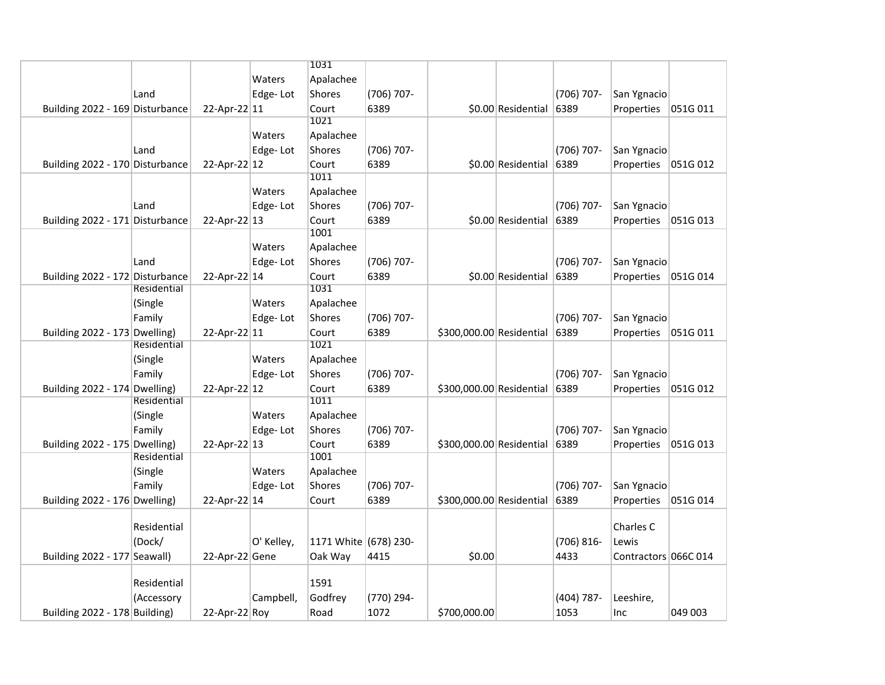|                                 |             |                |            | 1031                  |            |                          |                    |               |                      |          |
|---------------------------------|-------------|----------------|------------|-----------------------|------------|--------------------------|--------------------|---------------|----------------------|----------|
|                                 |             |                | Waters     | Apalachee             |            |                          |                    |               |                      |          |
|                                 | Land        |                | Edge-Lot   | Shores                | (706) 707- |                          |                    | (706) 707-    | San Ygnacio          |          |
| Building 2022 - 169 Disturbance |             | 22-Apr-22 11   |            | Court                 | 6389       |                          | \$0.00 Residential | 6389          | Properties           | 051G 011 |
|                                 |             |                |            | 1021                  |            |                          |                    |               |                      |          |
|                                 |             |                | Waters     | Apalachee             |            |                          |                    |               |                      |          |
|                                 | Land        |                | Edge-Lot   | Shores                | (706) 707- |                          |                    | (706) 707-    | San Ygnacio          |          |
| Building 2022 - 170 Disturbance |             | 22-Apr-22 12   |            | Court                 | 6389       |                          | \$0.00 Residential | 6389          | Properties           | 051G 012 |
|                                 |             |                |            | 1011                  |            |                          |                    |               |                      |          |
|                                 |             |                | Waters     | Apalachee             |            |                          |                    |               |                      |          |
|                                 | Land        |                | Edge-Lot   | Shores                | (706) 707- |                          |                    | (706) 707-    | San Ygnacio          |          |
| Building 2022 - 171 Disturbance |             | 22-Apr-22 13   |            | Court                 | 6389       |                          | \$0.00 Residential | 6389          | Properties           | 051G 013 |
|                                 |             |                |            | 1001                  |            |                          |                    |               |                      |          |
|                                 |             |                | Waters     | Apalachee             |            |                          |                    |               |                      |          |
|                                 | Land        |                | Edge-Lot   | Shores                | (706) 707- |                          |                    | (706) 707-    | San Ygnacio          |          |
| Building 2022 - 172 Disturbance |             | 22-Apr-22 14   |            | Court                 | 6389       |                          | \$0.00 Residential | 6389          | Properties           | 051G 014 |
|                                 | Residential |                |            | 1031                  |            |                          |                    |               |                      |          |
|                                 | (Single     |                | Waters     | Apalachee             |            |                          |                    |               |                      |          |
|                                 | Family      |                | Edge-Lot   | Shores                | (706) 707- |                          |                    | (706) 707-    | San Ygnacio          |          |
| Building 2022 - 173 Dwelling)   |             | 22-Apr-22 11   |            | Court                 | 6389       | \$300,000.00 Residential |                    | 6389          | Properties           | 051G 011 |
|                                 | Residential |                |            | 1021                  |            |                          |                    |               |                      |          |
|                                 | (Single     |                | Waters     | Apalachee             |            |                          |                    |               |                      |          |
|                                 | Family      |                | Edge-Lot   | Shores                | (706) 707- |                          |                    | (706) 707-    | San Ygnacio          |          |
| Building 2022 - 174 Dwelling)   |             | 22-Apr-22 12   |            | Court                 | 6389       | \$300,000.00 Residential |                    | 6389          | Properties           | 051G 012 |
|                                 | Residential |                |            | 1011                  |            |                          |                    |               |                      |          |
|                                 | (Single     |                | Waters     | Apalachee             |            |                          |                    |               |                      |          |
|                                 | Family      |                | Edge-Lot   | Shores                | (706) 707- |                          |                    | (706) 707-    | San Ygnacio          |          |
| Building 2022 - 175 Dwelling)   |             | 22-Apr-22 13   |            | Court                 | 6389       | \$300,000.00 Residential |                    | 6389          | Properties           | 051G 013 |
|                                 | Residential |                |            | 1001                  |            |                          |                    |               |                      |          |
|                                 | (Single     |                | Waters     | Apalachee             |            |                          |                    |               |                      |          |
|                                 | Family      |                | Edge-Lot   | Shores                | (706) 707- |                          |                    | (706) 707-    | San Ygnacio          |          |
| Building 2022 - 176 Dwelling)   |             | 22-Apr-22 14   |            | Court                 | 6389       | \$300,000.00 Residential |                    | 6389          | Properties           | 051G 014 |
|                                 |             |                |            |                       |            |                          |                    |               |                      |          |
|                                 | Residential |                |            |                       |            |                          |                    |               | Charles C            |          |
|                                 | (Dock/      |                | O' Kelley, | 1171 White (678) 230- |            |                          |                    | $(706) 816 -$ | Lewis                |          |
| Building 2022 - 177 Seawall)    |             | 22-Apr-22 Gene |            | Oak Way               | 4415       | \$0.00                   |                    | 4433          | Contractors 066C 014 |          |
|                                 |             |                |            |                       |            |                          |                    |               |                      |          |
|                                 | Residential |                |            | 1591                  |            |                          |                    |               |                      |          |
|                                 | (Accessory  |                | Campbell,  | Godfrey               | (770) 294- |                          |                    | $(404)$ 787-  | Leeshire,            |          |
| Building 2022 - 178 Building)   |             | 22-Apr-22 Roy  |            | Road                  | 1072       | \$700,000.00             |                    | 1053          | Inc                  | 049 003  |
|                                 |             |                |            |                       |            |                          |                    |               |                      |          |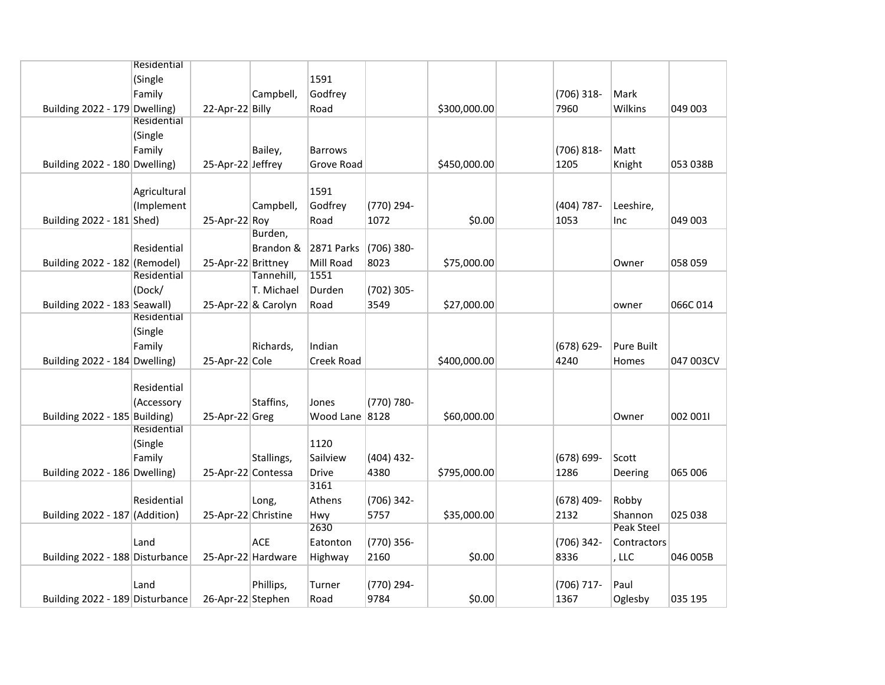|                                  | Residential  |                     |            |                |              |              |               |                   |           |
|----------------------------------|--------------|---------------------|------------|----------------|--------------|--------------|---------------|-------------------|-----------|
|                                  | (Single      |                     |            | 1591           |              |              |               |                   |           |
|                                  | Family       |                     | Campbell,  | Godfrey        |              |              | (706) 318-    | Mark              |           |
| Building 2022 - 179 Dwelling)    |              | 22-Apr-22 Billy     |            | Road           |              | \$300,000.00 | 7960          | Wilkins           | 049 003   |
|                                  | Residential  |                     |            |                |              |              |               |                   |           |
|                                  | (Single      |                     |            |                |              |              |               |                   |           |
|                                  | Family       |                     | Bailey,    | <b>Barrows</b> |              |              | $(706) 818 -$ | Matt              |           |
| Building 2022 - 180 Dwelling)    |              | 25-Apr-22 Jeffrey   |            | Grove Road     |              | \$450,000.00 | 1205          | Knight            | 053 038B  |
|                                  |              |                     |            |                |              |              |               |                   |           |
|                                  | Agricultural |                     |            | 1591           |              |              |               |                   |           |
|                                  | (Implement   |                     | Campbell,  | Godfrey        | (770) 294-   |              | $(404)$ 787-  | Leeshire,         |           |
| Building 2022 - 181 Shed)        |              | $25-Apr-22$ Roy     |            | Road           | 1072         | \$0.00       | 1053          | Inc               | 049 003   |
|                                  |              |                     | Burden,    |                |              |              |               |                   |           |
|                                  | Residential  |                     | Brandon &  | 2871 Parks     | (706) 380-   |              |               |                   |           |
| Building 2022 - 182 (Remodel)    |              | 25-Apr-22 Brittney  |            | Mill Road      | 8023         | \$75,000.00  |               | Owner             | 058 059   |
|                                  | Residential  |                     | Tannehill, | 1551           |              |              |               |                   |           |
|                                  | (Dock/       |                     | T. Michael | Durden         | (702) 305-   |              |               |                   |           |
| Building 2022 - 183 Seawall)     |              | 25-Apr-22 & Carolyn |            | Road           | 3549         | \$27,000.00  |               | owner             | 066C 014  |
|                                  | Residential  |                     |            |                |              |              |               |                   |           |
|                                  | (Single      |                     |            |                |              |              |               |                   |           |
|                                  | Family       |                     | Richards,  | Indian         |              |              | $(678) 629 -$ | Pure Built        |           |
| Building 2022 - 184 Dwelling)    |              | 25-Apr-22 Cole      |            | Creek Road     |              | \$400,000.00 | 4240          | Homes             | 047 003CV |
|                                  |              |                     |            |                |              |              |               |                   |           |
|                                  | Residential  |                     |            |                |              |              |               |                   |           |
|                                  | (Accessory   |                     | Staffins,  | Jones          | (770) 780-   |              |               |                   |           |
| Building 2022 - 185 Building)    |              | 25-Apr-22 Greg      |            | Wood Lane 8128 |              | \$60,000.00  |               | Owner             | 002 0011  |
|                                  | Residential  |                     |            |                |              |              |               |                   |           |
|                                  | (Single      |                     |            | 1120           |              |              |               |                   |           |
|                                  | Family       |                     | Stallings, | Sailview       | $(404)$ 432- |              | $(678) 699 -$ | Scott             |           |
| Building 2022 - 186 Dwelling)    |              | 25-Apr-22 Contessa  |            | Drive          | 4380         | \$795,000.00 | 1286          | Deering           | 065 006   |
|                                  |              |                     |            | 3161           |              |              |               |                   |           |
|                                  | Residential  |                     | Long,      | Athens         | (706) 342-   |              | $(678)$ 409-  | Robby             |           |
| Building $2022 - 187$ (Addition) |              | 25-Apr-22 Christine |            | Hwy            | 5757         | \$35,000.00  | 2132          | Shannon           | 025 038   |
|                                  |              |                     |            | 2630           |              |              |               | <b>Peak Steel</b> |           |
|                                  | Land         |                     | <b>ACE</b> | Eatonton       | (770) 356-   |              | (706) 342-    | Contractors       |           |
| Building 2022 - 188 Disturbance  |              | 25-Apr-22 Hardware  |            | Highway        | 2160         | \$0.00       | 8336          | , LLC             | 046 005B  |
|                                  |              |                     |            |                |              |              |               |                   |           |
|                                  | Land         |                     | Phillips,  | Turner         | (770) 294-   |              | $(706)$ 717-  | Paul              |           |
| Building 2022 - 189 Disturbance  |              | 26-Apr-22 Stephen   |            | Road           | 9784         | \$0.00       | 1367          | Oglesby           | 035 195   |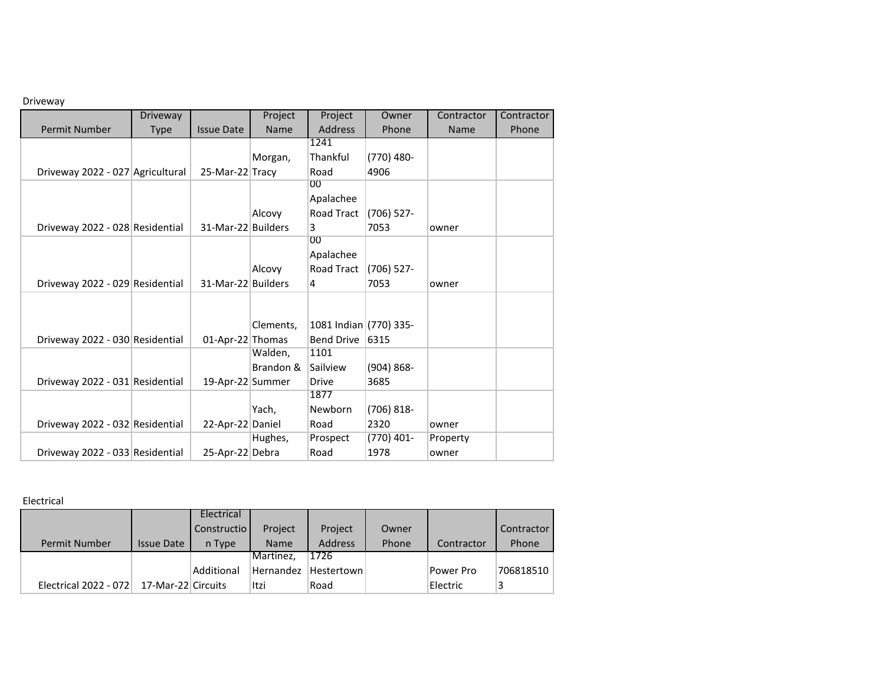## Driveway

|                                  | Driveway    |                    | Project     | Project                | Owner         | Contractor | Contractor |
|----------------------------------|-------------|--------------------|-------------|------------------------|---------------|------------|------------|
| <b>Permit Number</b>             | <b>Type</b> | <b>Issue Date</b>  | <b>Name</b> | <b>Address</b>         | Phone         | Name       | Phone      |
|                                  |             |                    |             | 1241                   |               |            |            |
|                                  |             |                    | Morgan,     | Thankful               | (770) 480-    |            |            |
| Driveway 2022 - 027 Agricultural |             | 25-Mar-22 Tracy    |             | Road                   | 4906          |            |            |
|                                  |             |                    |             | 00                     |               |            |            |
|                                  |             |                    |             | Apalachee              |               |            |            |
|                                  |             |                    | Alcovy      | Road Tract             | $(706)$ 527-  |            |            |
| Driveway 2022 - 028 Residential  |             | 31-Mar-22 Builders |             | 3                      | 7053          | owner      |            |
|                                  |             |                    |             | 00                     |               |            |            |
|                                  |             |                    |             | Apalachee              |               |            |            |
|                                  |             |                    | Alcovy      | Road Tract             | $(706)$ 527-  |            |            |
| Driveway 2022 - 029 Residential  |             | 31-Mar-22 Builders |             | 4                      | 7053          | owner      |            |
|                                  |             |                    |             |                        |               |            |            |
|                                  |             |                    |             |                        |               |            |            |
|                                  |             |                    | Clements,   | 1081 Indian (770) 335- |               |            |            |
| Driveway 2022 - 030 Residential  |             | 01-Apr-22 Thomas   |             | <b>Bend Drive</b>      | 6315          |            |            |
|                                  |             |                    | Walden,     | 1101                   |               |            |            |
|                                  |             |                    | Brandon &   | Sailview               | $(904) 868 -$ |            |            |
| Driveway 2022 - 031 Residential  |             | 19-Apr-22 Summer   |             | <b>Drive</b>           | 3685          |            |            |
|                                  |             |                    |             | 1877                   |               |            |            |
|                                  |             |                    | Yach,       | Newborn                | $(706) 818 -$ |            |            |
| Driveway 2022 - 032 Residential  |             | 22-Apr-22 Daniel   |             | Road                   | 2320          | owner      |            |
|                                  |             |                    | Hughes,     | Prospect               | (770) 401-    | Property   |            |
| Driveway 2022 - 033 Residential  |             | 25-Apr-22 Debra    |             | Road                   | 1978          | owner      |            |

## Electrical

|                       |                    | Electrical  |             |                |       |            |            |
|-----------------------|--------------------|-------------|-------------|----------------|-------|------------|------------|
|                       |                    | Constructio | Project     | Project        | Owner |            | Contractor |
| Permit Number         | <b>Issue Date</b>  | n Type      | <b>Name</b> | <b>Address</b> | Phone | Contractor | Phone      |
|                       |                    |             | Martinez,   | 1726           |       |            |            |
|                       |                    | Additional  | Hernandez   | Hestertown     |       | Power Pro  | 706818510  |
| Electrical 2022 - 072 | 17-Mar-22 Circuits |             | Itzi        | Road           |       | Electric   |            |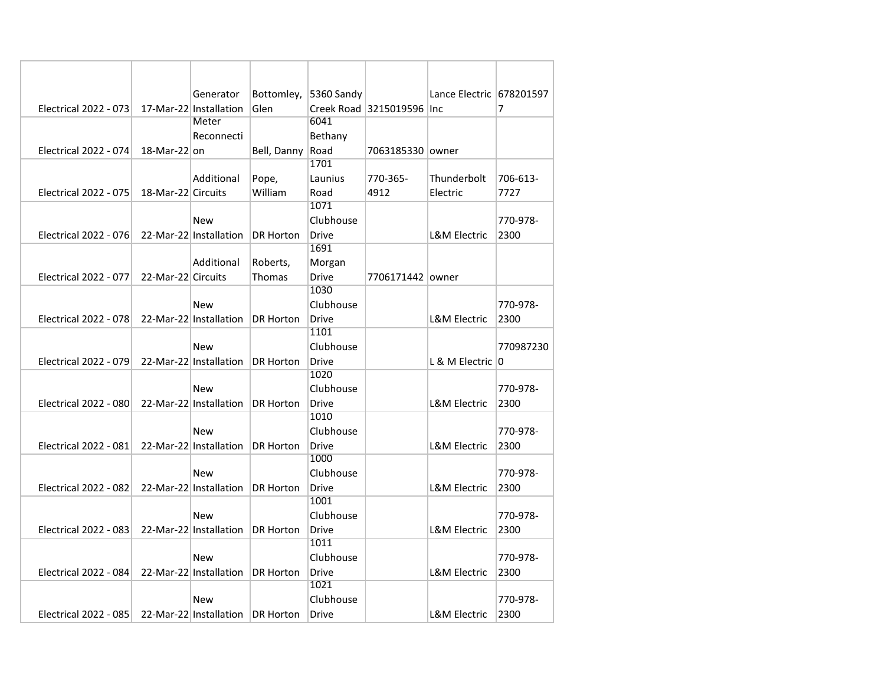|                              |                    | Generator                        | Bottomley,       | 5360 Sandy   |                           | Lance Electric   678201597 |           |
|------------------------------|--------------------|----------------------------------|------------------|--------------|---------------------------|----------------------------|-----------|
| <b>Electrical 2022 - 073</b> |                    | 17-Mar-22 Installation           | Glen             |              | Creek Road 3215019596 Inc |                            | 7         |
|                              |                    | Meter                            |                  | 6041         |                           |                            |           |
|                              |                    | Reconnecti                       |                  | Bethany      |                           |                            |           |
| <b>Electrical 2022 - 074</b> | $18-Mar-22$ on     |                                  | Bell, Danny      | Road         | 7063185330  owner         |                            |           |
|                              |                    |                                  |                  | 1701         |                           |                            |           |
|                              |                    | Additional                       | Pope,            | Launius      | 770-365-                  | Thunderbolt                | 706-613-  |
| <b>Electrical 2022 - 075</b> | 18-Mar-22 Circuits |                                  | William          | Road         | 4912                      | Electric                   | 7727      |
|                              |                    |                                  |                  | 1071         |                           |                            |           |
|                              |                    | <b>New</b>                       |                  | Clubhouse    |                           |                            | 770-978-  |
| Electrical 2022 - 076        |                    | 22-Mar-22 Installation           | DR Horton        | <b>Drive</b> |                           | L&M Electric               | 2300      |
|                              |                    |                                  |                  | 1691         |                           |                            |           |
|                              |                    | Additional                       | Roberts,         | Morgan       |                           |                            |           |
| <b>Electrical 2022 - 077</b> | 22-Mar-22 Circuits |                                  | Thomas           | Drive        | 7706171442   owner        |                            |           |
|                              |                    |                                  |                  | 1030         |                           |                            |           |
|                              |                    | New                              |                  | Clubhouse    |                           |                            | 770-978-  |
| <b>Electrical 2022 - 078</b> |                    | 22-Mar-22 Installation           | DR Horton        | <b>Drive</b> |                           | <b>L&amp;M Electric</b>    | 2300      |
|                              |                    |                                  |                  | 1101         |                           |                            |           |
|                              |                    | <b>New</b>                       |                  | Clubhouse    |                           |                            | 770987230 |
| Electrical 2022 - 079        |                    | 22-Mar-22 Installation           | <b>DR Horton</b> | Drive        |                           | L & M Electric   0         |           |
|                              |                    |                                  |                  | 1020         |                           |                            |           |
|                              |                    | <b>New</b>                       |                  | Clubhouse    |                           |                            | 770-978-  |
| Electrical 2022 - 080        |                    | 22-Mar-22 Installation           | <b>DR Horton</b> | <b>Drive</b> |                           | L&M Electric               | 2300      |
|                              |                    |                                  |                  | 1010         |                           |                            |           |
|                              |                    | <b>New</b>                       |                  | Clubhouse    |                           |                            | 770-978-  |
| Electrical 2022 - 081        |                    | 22-Mar-22 Installation           | <b>DR Horton</b> | <b>Drive</b> |                           | <b>L&amp;M Electric</b>    | 2300      |
|                              |                    |                                  |                  | 1000         |                           |                            |           |
|                              |                    | New                              |                  | Clubhouse    |                           |                            | 770-978-  |
| <b>Electrical 2022 - 082</b> |                    | 22-Mar-22 Installation           | <b>DR Horton</b> | <b>Drive</b> |                           | L&M Electric               | 2300      |
|                              |                    |                                  |                  | 1001         |                           |                            |           |
|                              |                    | <b>New</b>                       |                  | Clubhouse    |                           |                            | 770-978-  |
| <b>Electrical 2022 - 083</b> |                    | 22-Mar-22 Installation           | <b>DR Horton</b> | <b>Drive</b> |                           | L&M Electric               | 2300      |
|                              |                    |                                  |                  | 1011         |                           |                            |           |
|                              |                    | <b>New</b>                       |                  | Clubhouse    |                           |                            | 770-978-  |
| Electrical 2022 - 084        |                    | 22-Mar-22 Installation           | DR Horton        | <b>Drive</b> |                           | L&M Electric               | 2300      |
|                              |                    |                                  |                  | 1021         |                           |                            |           |
|                              |                    | New                              |                  | Clubhouse    |                           |                            | 770-978-  |
| Electrical 2022 - 085        |                    | 22-Mar-22 Installation DR Horton |                  | <b>Drive</b> |                           | L&M Electric               | 2300      |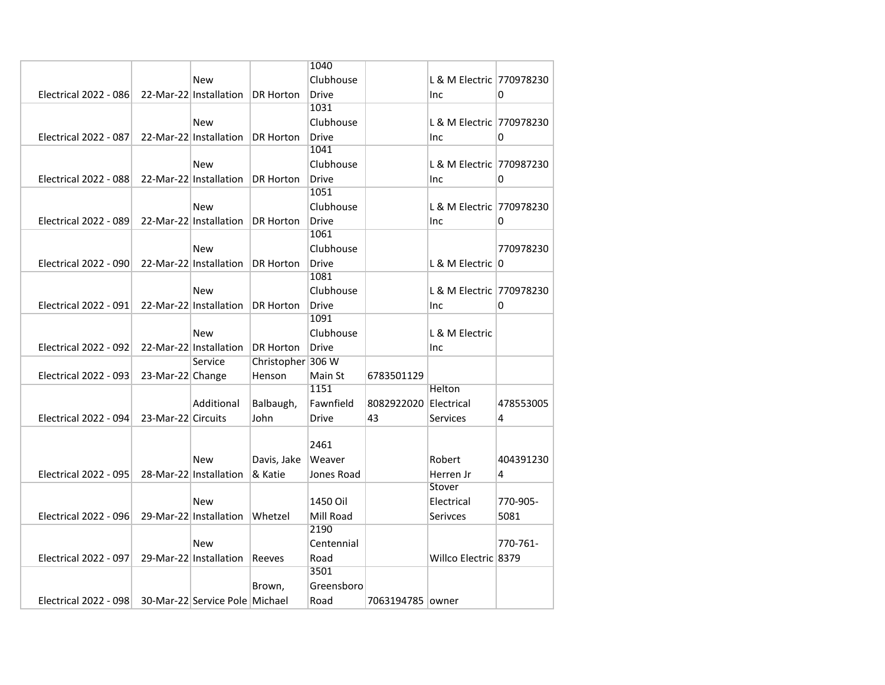|                              |                    |                                |                   | 1040         |                  |                           |           |
|------------------------------|--------------------|--------------------------------|-------------------|--------------|------------------|---------------------------|-----------|
|                              |                    | <b>New</b>                     |                   | Clubhouse    |                  | L & M Electric 1770978230 |           |
| Electrical 2022 - 086        |                    | 22-Mar-22 Installation         | DR Horton         | <b>Drive</b> |                  | Inc                       | 0         |
|                              |                    |                                |                   | 1031         |                  |                           |           |
|                              |                    | <b>New</b>                     |                   | Clubhouse    |                  | L & M Electric 1770978230 |           |
| <b>Electrical 2022 - 087</b> |                    | 22-Mar-22 Installation         | <b>DR Horton</b>  | <b>Drive</b> |                  | Inc                       | 0         |
|                              |                    |                                |                   | 1041         |                  |                           |           |
|                              |                    | <b>New</b>                     |                   | Clubhouse    |                  | L & M Electric 770987230  |           |
| <b>Electrical 2022 - 088</b> |                    | 22-Mar-22 Installation         | <b>DR Horton</b>  | Drive        |                  | Inc                       | 0         |
|                              |                    |                                |                   | 1051         |                  |                           |           |
|                              |                    | <b>New</b>                     |                   | Clubhouse    |                  | L & M Electric 1770978230 |           |
| <b>Electrical 2022 - 089</b> |                    | 22-Mar-22 Installation         | <b>DR Horton</b>  | <b>Drive</b> |                  | Inc                       | 0         |
|                              |                    |                                |                   | 1061         |                  |                           |           |
|                              |                    | <b>New</b>                     |                   | Clubhouse    |                  |                           | 770978230 |
| Electrical 2022 - 090        |                    | 22-Mar-22 Installation         | <b>DR Horton</b>  | <b>Drive</b> |                  | L & M Electric   0        |           |
|                              |                    |                                |                   | 1081         |                  |                           |           |
|                              |                    | <b>New</b>                     |                   | Clubhouse    |                  | L & M Electric 1770978230 |           |
| <b>Electrical 2022 - 091</b> |                    | 22-Mar-22 Installation         | DR Horton         | <b>Drive</b> |                  | Inc                       | 0         |
|                              |                    |                                |                   | 1091         |                  |                           |           |
|                              |                    | <b>New</b>                     |                   | Clubhouse    |                  | L & M Electric            |           |
| <b>Electrical 2022 - 092</b> |                    | 22-Mar-22 Installation         | DR Horton         | <b>Drive</b> |                  | <b>Inc</b>                |           |
|                              |                    | Service                        | Christopher 306 W |              |                  |                           |           |
| Electrical 2022 - 093        | 23-Mar-22 Change   |                                | Henson            | Main St      | 6783501129       |                           |           |
|                              |                    |                                |                   | 1151         |                  | Helton                    |           |
|                              |                    | Additional                     | Balbaugh,         | Fawnfield    | 8082922020       | <b>Electrical</b>         | 478553005 |
| Electrical 2022 - 094        | 23-Mar-22 Circuits |                                | John              | Drive        | 43               | <b>Services</b>           | 4         |
|                              |                    |                                |                   |              |                  |                           |           |
|                              |                    |                                |                   | 2461         |                  |                           |           |
|                              |                    | <b>New</b>                     | Davis, Jake       | Weaver       |                  | Robert                    | 404391230 |
| <b>Electrical 2022 - 095</b> |                    | 28-Mar-22 Installation         | & Katie           | Jones Road   |                  | Herren Jr                 | 4         |
|                              |                    |                                |                   |              |                  | Stover                    |           |
|                              |                    | <b>New</b>                     |                   | 1450 Oil     |                  | Electrical                | 770-905-  |
| <b>Electrical 2022 - 096</b> |                    | 29-Mar-22 Installation         | Whetzel           | Mill Road    |                  | Serivces                  | 5081      |
|                              |                    |                                |                   | 2190         |                  |                           |           |
|                              |                    | <b>New</b>                     |                   | Centennial   |                  |                           | 770-761-  |
| <b>Electrical 2022 - 097</b> |                    | 29-Mar-22 Installation         | Reeves            | Road         |                  | Willco Electric 8379      |           |
|                              |                    |                                |                   | 3501         |                  |                           |           |
|                              |                    |                                | Brown,            | Greensboro   |                  |                           |           |
| Electrical 2022 - 098        |                    | 30-Mar-22 Service Pole Michael |                   | Road         | 7063194785 owner |                           |           |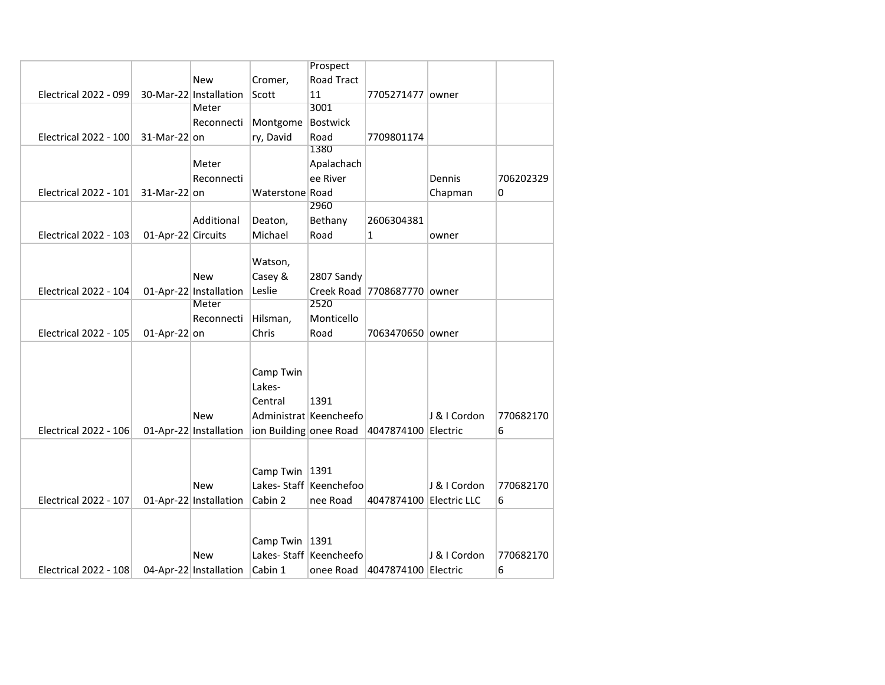|                              |                    |                        |                   | Prospect               |                             |              |           |
|------------------------------|--------------------|------------------------|-------------------|------------------------|-----------------------------|--------------|-----------|
|                              |                    | New                    | Cromer,           | <b>Road Tract</b>      |                             |              |           |
| <b>Electrical 2022 - 099</b> |                    | 30-Mar-22 Installation | Scott             | 11                     | 7705271477 owner            |              |           |
|                              |                    | Meter                  |                   | 3001                   |                             |              |           |
|                              |                    | Reconnecti             | Montgome Bostwick |                        |                             |              |           |
| <b>Electrical 2022 - 100</b> | $31-Mar-22$ on     |                        | ry, David         | Road                   | 7709801174                  |              |           |
|                              |                    |                        |                   | 1380                   |                             |              |           |
|                              |                    | Meter                  |                   | Apalachach             |                             |              |           |
|                              |                    | Reconnecti             |                   | ee River               |                             | Dennis       | 706202329 |
| <b>Electrical 2022 - 101</b> | $31-Mar-22$ on     |                        | Waterstone Road   |                        |                             | Chapman      | 0         |
|                              |                    |                        |                   | 2960                   |                             |              |           |
|                              |                    | Additional             | Deaton,           | Bethany                | 2606304381                  |              |           |
| <b>Electrical 2022 - 103</b> | 01-Apr-22 Circuits |                        | Michael           | Road                   | 1                           | owner        |           |
|                              |                    |                        |                   |                        |                             |              |           |
|                              |                    |                        | Watson,           |                        |                             |              |           |
|                              |                    | New                    | Casey &           | 2807 Sandy             |                             |              |           |
| Electrical 2022 - 104        |                    | 01-Apr-22 Installation | Leslie            |                        | Creek Road 7708687770 owner |              |           |
|                              |                    | Meter                  |                   | 2520                   |                             |              |           |
|                              |                    | Reconnecti             | Hilsman,          | Monticello             |                             |              |           |
| <b>Electrical 2022 - 105</b> | 01-Apr-22 on       |                        | Chris             | Road                   | 7063470650 owner            |              |           |
|                              |                    |                        |                   |                        |                             |              |           |
|                              |                    |                        |                   |                        |                             |              |           |
|                              |                    |                        | Camp Twin         |                        |                             |              |           |
|                              |                    |                        | Lakes-            |                        |                             |              |           |
|                              |                    |                        | Central           | 1391                   |                             |              |           |
|                              |                    | <b>New</b>             |                   | Administrat Keencheefo |                             | J & I Cordon | 770682170 |
| <b>Electrical 2022 - 106</b> |                    | 01-Apr-22 Installation |                   | ion Building onee Road | 4047874100 Electric         |              | 6         |
|                              |                    |                        |                   |                        |                             |              |           |
|                              |                    |                        |                   |                        |                             |              |           |
|                              |                    |                        | Camp Twin   1391  |                        |                             |              |           |
|                              |                    | <b>New</b>             |                   | Lakes-Staff Keenchefoo |                             | J & I Cordon | 770682170 |
| Electrical 2022 - 107        |                    | 01-Apr-22 Installation | Cabin 2           | nee Road               | 4047874100 Electric LLC     |              | 6         |
|                              |                    |                        |                   |                        |                             |              |           |
|                              |                    |                        |                   |                        |                             |              |           |
|                              |                    |                        | Camp Twin 1391    |                        |                             |              |           |
|                              |                    | New                    |                   | Lakes-Staff Keencheefo |                             | J & I Cordon | 770682170 |
| <b>Electrical 2022 - 108</b> |                    | 04-Apr-22 Installation | Cabin 1           | onee Road              | 4047874100 Electric         |              | 6         |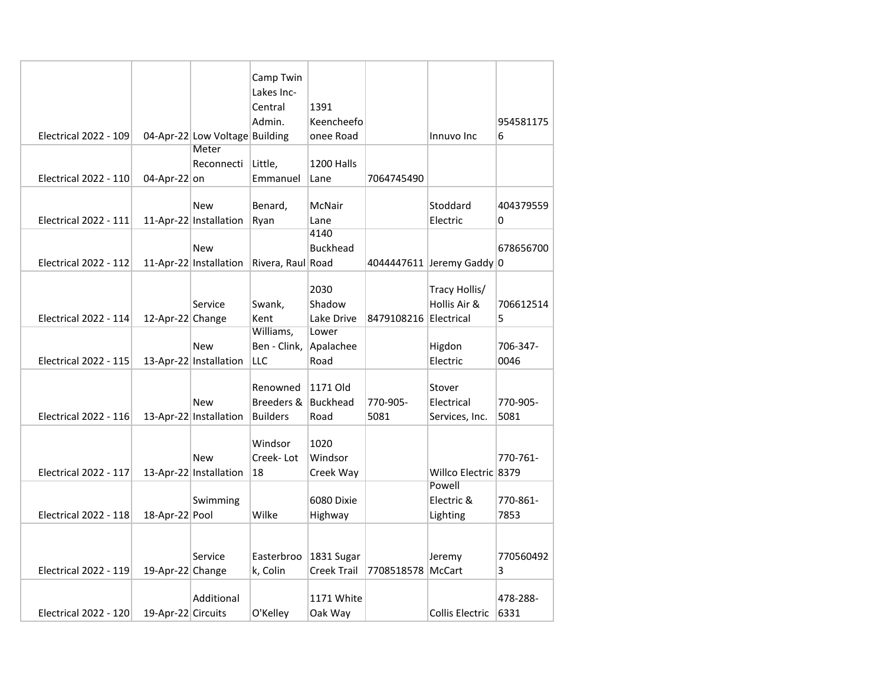|                              |                    |                                | Camp Twin         |                    |                       |                           |           |
|------------------------------|--------------------|--------------------------------|-------------------|--------------------|-----------------------|---------------------------|-----------|
|                              |                    |                                | Lakes Inc-        |                    |                       |                           |           |
|                              |                    |                                | Central           | 1391               |                       |                           |           |
|                              |                    |                                | Admin.            | Keencheefo         |                       |                           | 954581175 |
| Electrical 2022 - 109        |                    | 04-Apr-22 Low Voltage Building |                   | onee Road          |                       | Innuvo Inc                | 6         |
|                              |                    | Meter                          |                   |                    |                       |                           |           |
|                              |                    | Reconnecti                     | Little,           | 1200 Halls         |                       |                           |           |
| <b>Electrical 2022 - 110</b> | 04-Apr-22 on       |                                | Emmanuel          | Lane               | 7064745490            |                           |           |
|                              |                    |                                |                   |                    |                       |                           |           |
|                              |                    | New                            | Benard,           | McNair             |                       | Stoddard                  | 404379559 |
| <b>Electrical 2022 - 111</b> |                    | 11-Apr-22 Installation         | Ryan              | Lane               |                       | Electric                  | 0         |
|                              |                    |                                |                   | 4140               |                       |                           |           |
|                              |                    | <b>New</b>                     |                   | <b>Buckhead</b>    |                       |                           | 678656700 |
| <b>Electrical 2022 - 112</b> |                    | 11-Apr-22 Installation         | Rivera, Raul Road |                    |                       | 4044447611 Jeremy Gaddy 0 |           |
|                              |                    |                                |                   |                    |                       |                           |           |
|                              |                    |                                |                   | 2030               |                       | Tracy Hollis/             |           |
|                              |                    | Service                        | Swank,            | Shadow             |                       | Hollis Air &              | 706612514 |
| <b>Electrical 2022 - 114</b> | 12-Apr-22 Change   |                                | Kent              | Lake Drive         | 8479108216 Electrical |                           | 5         |
|                              |                    |                                | Williams,         | Lower              |                       |                           |           |
|                              |                    | <b>New</b>                     | Ben - Clink,      | Apalachee          |                       | Higdon                    | 706-347-  |
| Electrical 2022 - 115        |                    | 13-Apr-22 Installation         | LLC               | Road               |                       | Electric                  | 0046      |
|                              |                    |                                |                   |                    |                       |                           |           |
|                              |                    |                                | Renowned          | 1171 Old           |                       | Stover                    |           |
|                              |                    | <b>New</b>                     | Breeders &        | <b>Buckhead</b>    | 770-905-              | Electrical                | 770-905-  |
| <b>Electrical 2022 - 116</b> |                    | 13-Apr-22 Installation         | <b>Builders</b>   | Road               | 5081                  | Services, Inc.            | 5081      |
|                              |                    |                                |                   |                    |                       |                           |           |
|                              |                    |                                | Windsor           | 1020               |                       |                           |           |
|                              |                    | <b>New</b>                     | Creek-Lot         | Windsor            |                       |                           | 770-761-  |
| <b>Electrical 2022 - 117</b> |                    | 13-Apr-22 Installation         | 18                | Creek Way          |                       | Willco Electric 8379      |           |
|                              |                    |                                |                   |                    |                       | Powell                    |           |
|                              |                    | Swimming                       |                   | 6080 Dixie         |                       | Electric &                | 770-861-  |
| <b>Electrical 2022 - 118</b> | 18-Apr-22 Pool     |                                | Wilke             | Highway            |                       | Lighting                  | 7853      |
|                              |                    |                                |                   |                    |                       |                           |           |
|                              |                    |                                |                   |                    |                       |                           |           |
|                              |                    | Service                        | Easterbroo        | 1831 Sugar         |                       | Jeremy                    | 770560492 |
| Electrical 2022 - 119        | 19-Apr-22 Change   |                                | k, Colin          | <b>Creek Trail</b> | 7708518578 McCart     |                           | 3         |
|                              |                    |                                |                   |                    |                       |                           |           |
|                              |                    | Additional                     |                   | 1171 White         |                       |                           | 478-288-  |
| <b>Electrical 2022 - 120</b> | 19-Apr-22 Circuits |                                | O'Kelley          | Oak Way            |                       | Collis Electric           | 6331      |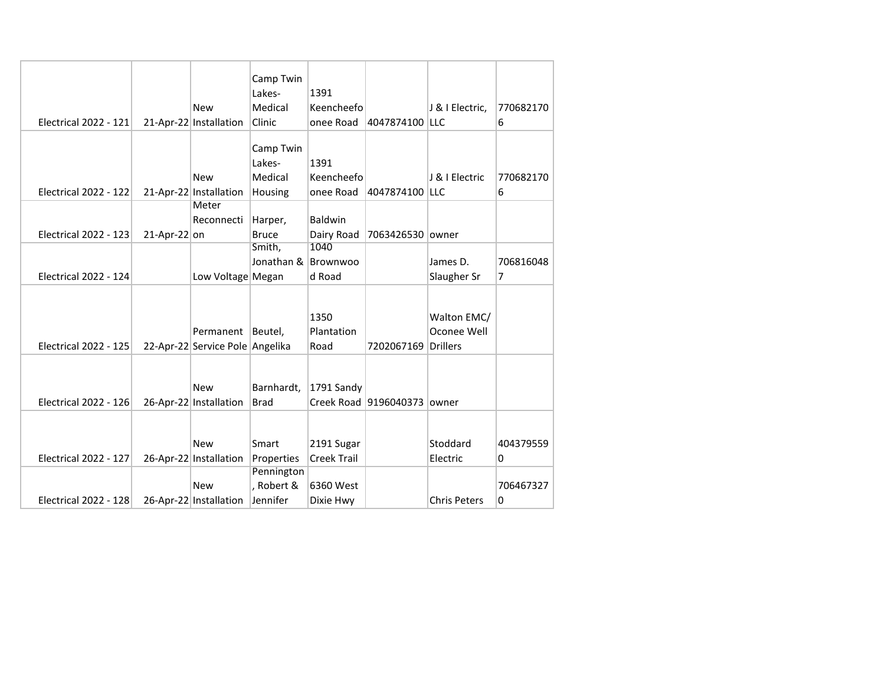|                              |                 |                                 | Camp Twin    |             |                       |                     |           |
|------------------------------|-----------------|---------------------------------|--------------|-------------|-----------------------|---------------------|-----------|
|                              |                 |                                 | Lakes-       | 1391        |                       |                     |           |
|                              |                 | <b>New</b>                      | Medical      | Keencheefo  |                       | J & I Electric,     | 770682170 |
| <b>Electrical 2022 - 121</b> |                 | 21-Apr-22 Installation          | Clinic       | onee Road   | 4047874100            | <b>LLC</b>          | 6         |
|                              |                 |                                 |              |             |                       |                     |           |
|                              |                 |                                 | Camp Twin    |             |                       |                     |           |
|                              |                 |                                 | Lakes-       | 1391        |                       |                     |           |
|                              |                 | <b>New</b>                      | Medical      | Keencheefo  |                       | J & I Electric      | 770682170 |
| <b>Electrical 2022 - 122</b> |                 | 21-Apr-22 Installation          | Housing      | onee Road   | 4047874100 LLC        |                     | 6         |
|                              |                 | Meter                           |              |             |                       |                     |           |
|                              |                 | Reconnecti                      | Harper,      | Baldwin     |                       |                     |           |
| <b>Electrical 2022 - 123</b> | $21$ -Apr-22 on |                                 | <b>Bruce</b> | Dairy Road  | 7063426530 owner      |                     |           |
|                              |                 |                                 | Smith,       | 1040        |                       |                     |           |
|                              |                 |                                 | Jonathan &   | Brownwoo    |                       | James D.            | 706816048 |
| <b>Electrical 2022 - 124</b> |                 | Low Voltage Megan               |              | d Road      |                       | Slaugher Sr         | 7         |
|                              |                 |                                 |              |             |                       |                     |           |
|                              |                 |                                 |              | 1350        |                       | Walton EMC/         |           |
|                              |                 | Permanent                       | Beutel,      | Plantation  |                       | Oconee Well         |           |
| Electrical 2022 - 125        |                 | 22-Apr-22 Service Pole Angelika |              | Road        | 7202067169            | Drillers            |           |
|                              |                 |                                 |              |             |                       |                     |           |
|                              |                 |                                 |              |             |                       |                     |           |
|                              |                 | <b>New</b>                      | Barnhardt,   | 1791 Sandy  |                       |                     |           |
| <b>Electrical 2022 - 126</b> |                 | 26-Apr-22 Installation          | <b>Brad</b>  |             | Creek Road 9196040373 | <b>Lowner</b>       |           |
|                              |                 |                                 |              |             |                       |                     |           |
|                              |                 |                                 |              |             |                       |                     |           |
|                              |                 | <b>New</b>                      | Smart        | 2191 Sugar  |                       | Stoddard            | 404379559 |
| <b>Electrical 2022 - 127</b> |                 | 26-Apr-22 Installation          | Properties   | Creek Trail |                       | Electric            | 0         |
|                              |                 |                                 | Pennington   |             |                       |                     |           |
|                              |                 | <b>New</b>                      | , Robert &   | 6360 West   |                       |                     | 706467327 |
| <b>Electrical 2022 - 128</b> |                 | 26-Apr-22 Installation          | Jennifer     | Dixie Hwy   |                       | <b>Chris Peters</b> | 0         |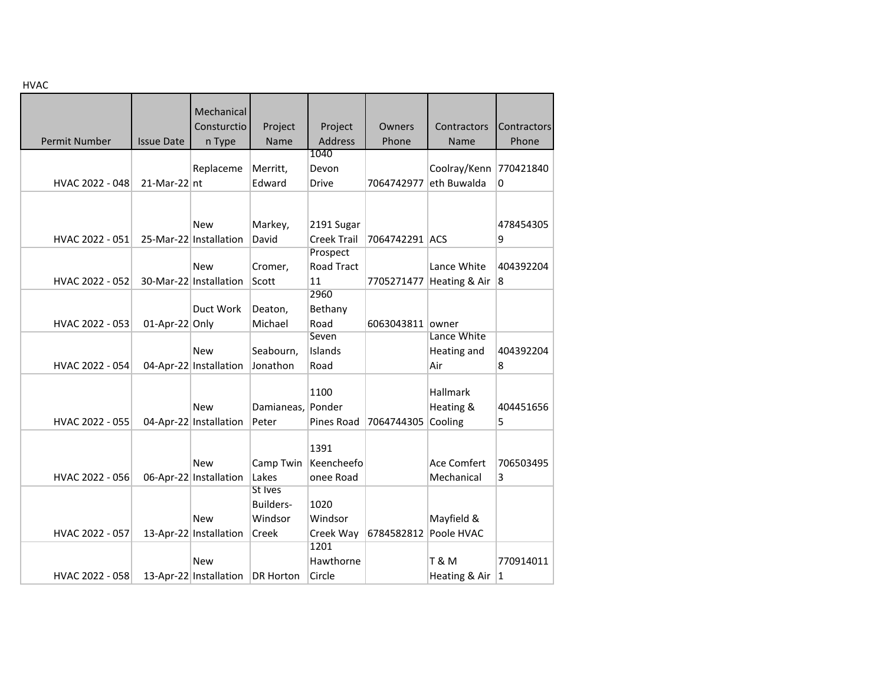HVAC

| 11 V A C        |                   |                        |                  |                    |                  |                    |             |
|-----------------|-------------------|------------------------|------------------|--------------------|------------------|--------------------|-------------|
|                 |                   |                        |                  |                    |                  |                    |             |
|                 |                   | Mechanical             |                  |                    |                  |                    |             |
|                 |                   | Consturctio            | Project          | Project            | Owners           | Contractors        | Contractors |
| Permit Number   | <b>Issue Date</b> | n Type                 | Name             | <b>Address</b>     | Phone            | Name               | Phone       |
|                 |                   |                        |                  | 1040               |                  |                    |             |
|                 |                   | Replaceme              | Merritt,         | Devon              |                  | Coolray/Kenn       | 770421840   |
| HVAC 2022 - 048 | $21-Mar-22$ nt    |                        | Edward           | <b>Drive</b>       | 7064742977       | eth Buwalda        | 0           |
|                 |                   |                        |                  |                    |                  |                    |             |
|                 |                   |                        |                  |                    |                  |                    |             |
|                 |                   | <b>New</b>             | Markey,          | 2191 Sugar         |                  |                    | 478454305   |
| HVAC 2022 - 051 |                   | 25-Mar-22 Installation | David            | <b>Creek Trail</b> | 7064742291 ACS   |                    | 9           |
|                 |                   |                        |                  | Prospect           |                  |                    |             |
|                 |                   | <b>New</b>             | Cromer,          | Road Tract         |                  | Lance White        | 404392204   |
| HVAC 2022 - 052 |                   | 30-Mar-22 Installation | Scott            | 11<br>2960         | 7705271477       | Heating & Air      | 8           |
|                 |                   | Duct Work              | Deaton,          | Bethany            |                  |                    |             |
|                 |                   |                        | Michael          | Road               | 6063043811 owner |                    |             |
| HVAC 2022 - 053 | 01-Apr-22 Only    |                        |                  | Seven              |                  | Lance White        |             |
|                 |                   | <b>New</b>             | Seabourn,        | Islands            |                  | Heating and        | 404392204   |
|                 |                   |                        | Jonathon         |                    |                  | Air                |             |
| HVAC 2022 - 054 |                   | 04-Apr-22 Installation |                  | Road               |                  |                    | 8           |
|                 |                   |                        |                  | 1100               |                  | Hallmark           |             |
|                 |                   | <b>New</b>             | Damianeas,       | Ponder             |                  | Heating &          | 404451656   |
| HVAC 2022 - 055 |                   | 04-Apr-22 Installation | Peter            | Pines Road         | 7064744305       | Cooling            | 5           |
|                 |                   |                        |                  |                    |                  |                    |             |
|                 |                   |                        |                  | 1391               |                  |                    |             |
|                 |                   | <b>New</b>             | Camp Twin        | Keencheefo         |                  | <b>Ace Comfert</b> | 706503495   |
| HVAC 2022 - 056 |                   | 06-Apr-22 Installation | Lakes            | onee Road          |                  | Mechanical         | 3           |
|                 |                   |                        | St Ives          |                    |                  |                    |             |
|                 |                   |                        | Builders-        | 1020               |                  |                    |             |
|                 |                   | <b>New</b>             | Windsor          | Windsor            |                  | Mayfield &         |             |
| HVAC 2022 - 057 |                   | 13-Apr-22 Installation | Creek            | Creek Way          | 6784582812       | Poole HVAC         |             |
|                 |                   |                        |                  | 1201               |                  |                    |             |
|                 |                   | <b>New</b>             |                  | Hawthorne          |                  | T & M              | 770914011   |
| HVAC 2022 - 058 |                   | 13-Apr-22 Installation | <b>DR Horton</b> | Circle             |                  | Heating & Air      | 1           |
|                 |                   |                        |                  |                    |                  |                    |             |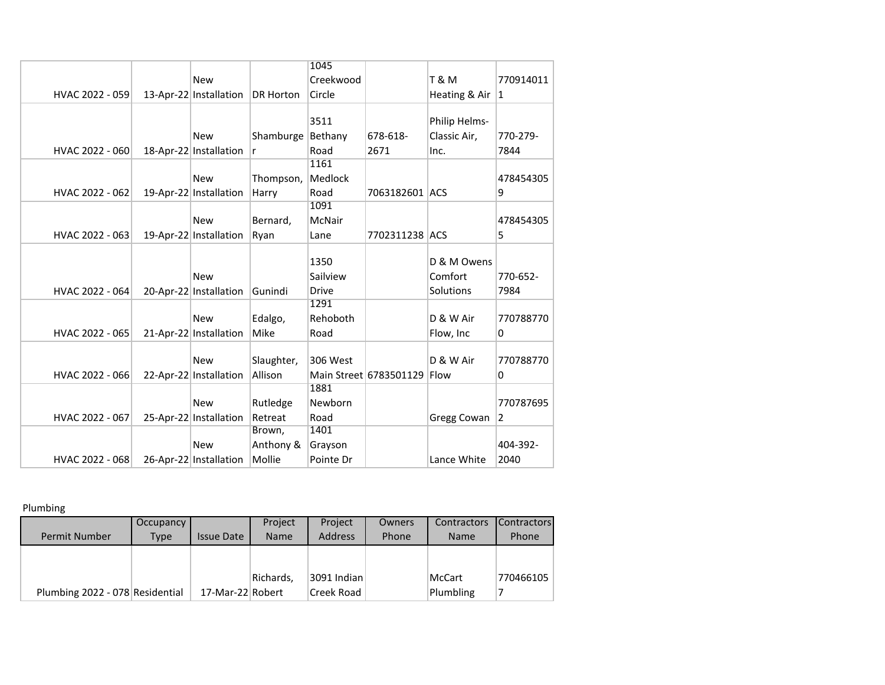|                 |                        |                  | 1045         |                        |               |             |
|-----------------|------------------------|------------------|--------------|------------------------|---------------|-------------|
|                 | <b>New</b>             |                  | Creekwood    |                        | T & M         | 770914011   |
| HVAC 2022 - 059 | 13-Apr-22 Installation | <b>DR Horton</b> | Circle       |                        | Heating & Air | $ 1\rangle$ |
|                 |                        |                  |              |                        |               |             |
|                 |                        |                  | 3511         |                        | Philip Helms- |             |
|                 | <b>New</b>             | Shamburge        | Bethany      | 678-618-               | Classic Air,  | 770-279-    |
| HVAC 2022 - 060 | 18-Apr-22 Installation | r                | Road         | 2671                   | Inc.          | 7844        |
|                 |                        |                  | 1161         |                        |               |             |
|                 | <b>New</b>             | Thompson,        | Medlock      |                        |               | 478454305   |
| HVAC 2022 - 062 | 19-Apr-22 Installation | Harry            | Road         | 7063182601 ACS         |               | 9           |
|                 |                        |                  | 1091         |                        |               |             |
|                 | <b>New</b>             | Bernard,         | McNair       |                        |               | 478454305   |
| HVAC 2022 - 063 | 19-Apr-22 Installation | Ryan             | Lane         | 7702311238 ACS         |               | 5           |
|                 |                        |                  |              |                        |               |             |
|                 |                        |                  | 1350         |                        | D & M Owens   |             |
|                 | <b>New</b>             |                  | Sailview     |                        | Comfort       | 770-652-    |
| HVAC 2022 - 064 | 20-Apr-22 Installation | Gunindi          | <b>Drive</b> |                        | Solutions     | 7984        |
|                 |                        |                  | 1291         |                        |               |             |
|                 | <b>New</b>             | Edalgo,          | Rehoboth     |                        | D & W Air     | 770788770   |
| HVAC 2022 - 065 | 21-Apr-22 Installation | Mike             | Road         |                        | Flow, Inc     | 0           |
|                 |                        |                  |              |                        |               |             |
|                 | <b>New</b>             | Slaughter,       | 306 West     |                        | D & W Air     | 770788770   |
| HVAC 2022 - 066 | 22-Apr-22 Installation | Allison          |              | Main Street 6783501129 | <b>Flow</b>   | 0           |
|                 |                        |                  | 1881         |                        |               |             |
|                 | <b>New</b>             | Rutledge         | Newborn      |                        |               | 770787695   |
| HVAC 2022 - 067 | 25-Apr-22 Installation | Retreat          | Road         |                        | Gregg Cowan   | 2           |
|                 |                        | Brown,           | 1401         |                        |               |             |
|                 | <b>New</b>             | Anthony &        | Grayson      |                        |               | 404-392-    |
| HVAC 2022 - 068 | 26-Apr-22 Installation | Mollie           | Pointe Dr    |                        | Lance White   | 2040        |

## Plumbing

|                                 | Occupancy |                   | Project     | Project        | Owners | <b>Contractors</b> | <b>Contractors</b> |
|---------------------------------|-----------|-------------------|-------------|----------------|--------|--------------------|--------------------|
| <b>Permit Number</b>            | Type      | <b>Issue Date</b> | <b>Name</b> | <b>Address</b> | Phone  | <b>Name</b>        | Phone              |
|                                 |           |                   |             |                |        |                    |                    |
|                                 |           |                   |             |                |        |                    |                    |
|                                 |           |                   | Richards,   | 3091 Indian    |        | <b>McCart</b>      | 770466105          |
| Plumbing 2022 - 078 Residential |           | 17-Mar-22 Robert  |             | Creek Road     |        | Plumbling          |                    |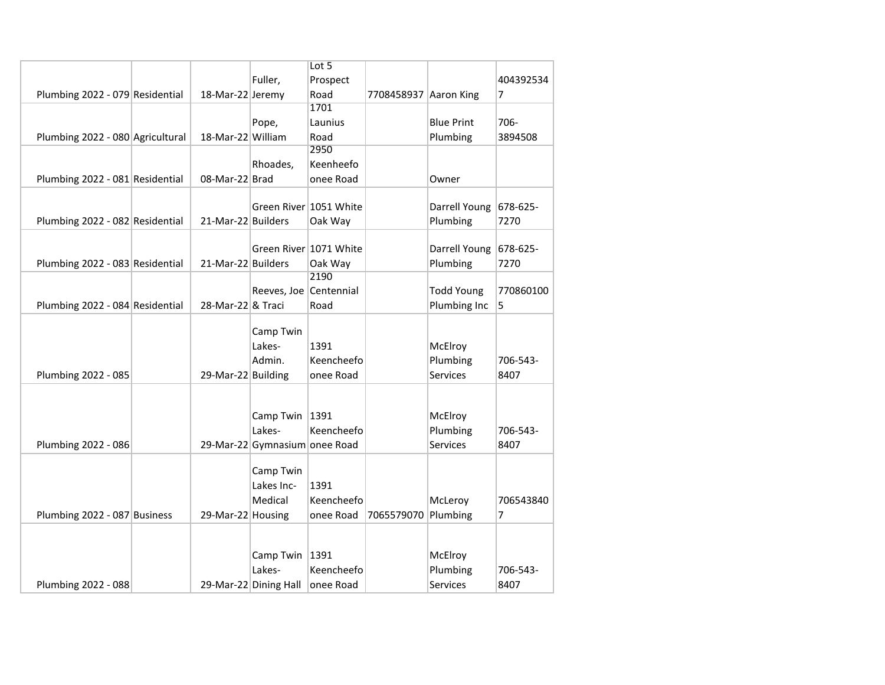|                                  |                    |                               | Lot 5                  |            |                   |                |
|----------------------------------|--------------------|-------------------------------|------------------------|------------|-------------------|----------------|
|                                  |                    | Fuller,                       | Prospect               |            |                   | 404392534      |
| Plumbing 2022 - 079 Residential  | 18-Mar-22 Jeremy   |                               | Road                   | 7708458937 | Aaron King        | $\overline{7}$ |
|                                  |                    |                               | 1701                   |            |                   |                |
|                                  |                    | Pope,                         | Launius                |            | <b>Blue Print</b> | 706-           |
| Plumbing 2022 - 080 Agricultural | 18-Mar-22 William  |                               | Road                   |            | Plumbing          | 3894508        |
|                                  |                    |                               | 2950                   |            |                   |                |
|                                  |                    | Rhoades,                      | Keenheefo              |            |                   |                |
| Plumbing 2022 - 081 Residential  | 08-Mar-22 Brad     |                               | onee Road              |            | Owner             |                |
|                                  |                    |                               |                        |            |                   |                |
|                                  |                    |                               | Green River 1051 White |            | Darrell Young     | 678-625-       |
| Plumbing 2022 - 082 Residential  | 21-Mar-22 Builders |                               | Oak Way                |            | Plumbing          | 7270           |
|                                  |                    |                               |                        |            |                   |                |
|                                  |                    |                               | Green River 1071 White |            | Darrell Young     | 678-625-       |
| Plumbing 2022 - 083 Residential  | 21-Mar-22 Builders |                               | Oak Way                |            | Plumbing          | 7270           |
|                                  |                    |                               | 2190                   |            |                   |                |
|                                  |                    | Reeves, Joe                   | Centennial             |            | <b>Todd Young</b> | 770860100      |
| Plumbing 2022 - 084 Residential  | 28-Mar-22 & Traci  |                               | Road                   |            | Plumbing Inc      | 5              |
|                                  |                    | Camp Twin                     |                        |            |                   |                |
|                                  |                    | Lakes-                        | 1391                   |            | McElroy           |                |
|                                  |                    | Admin.                        | Keencheefo             |            | Plumbing          | 706-543-       |
| Plumbing 2022 - 085              | 29-Mar-22 Building |                               | onee Road              |            | <b>Services</b>   | 8407           |
|                                  |                    |                               |                        |            |                   |                |
|                                  |                    |                               |                        |            |                   |                |
|                                  |                    | Camp Twin   1391              |                        |            | McElroy           |                |
|                                  |                    | Lakes-                        | Keencheefo             |            | Plumbing          | 706-543-       |
| Plumbing 2022 - 086              |                    | 29-Mar-22 Gymnasium onee Road |                        |            | <b>Services</b>   | 8407           |
|                                  |                    |                               |                        |            |                   |                |
|                                  |                    | Camp Twin                     |                        |            |                   |                |
|                                  |                    | Lakes Inc-                    | 1391                   |            |                   |                |
|                                  |                    | Medical                       | Keencheefo             |            | McLeroy           | 706543840      |
| Plumbing 2022 - 087 Business     | 29-Mar-22 Housing  |                               | onee Road              | 7065579070 | Plumbing          | $\overline{7}$ |
|                                  |                    |                               |                        |            |                   |                |
|                                  |                    |                               |                        |            |                   |                |
|                                  |                    | Camp Twin   1391              |                        |            | McElroy           |                |
|                                  |                    | Lakes-                        | Keencheefo             |            | Plumbing          | 706-543-       |
| Plumbing 2022 - 088              |                    | 29-Mar-22 Dining Hall         | onee Road              |            | Services          | 8407           |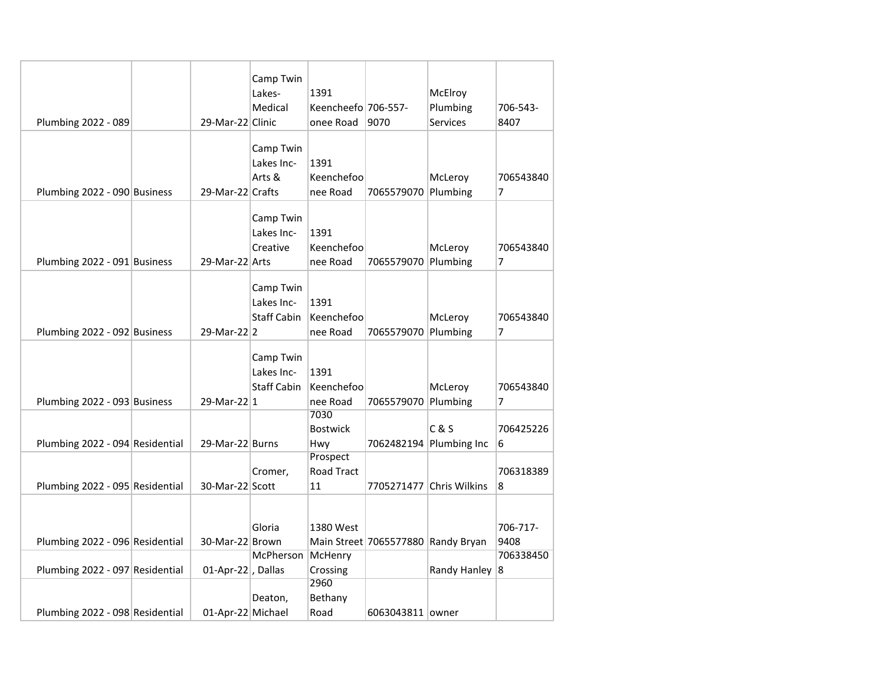|                                 |                        | Camp Twin          |                     |                                    |                          |           |
|---------------------------------|------------------------|--------------------|---------------------|------------------------------------|--------------------------|-----------|
|                                 |                        | Lakes-             | 1391                |                                    | McElroy                  |           |
|                                 |                        | Medical            | Keencheefo 706-557- |                                    | Plumbing                 | 706-543-  |
| Plumbing 2022 - 089             | 29-Mar-22 Clinic       |                    | onee Road           | 9070                               | <b>Services</b>          | 8407      |
|                                 |                        |                    |                     |                                    |                          |           |
|                                 |                        | Camp Twin          |                     |                                    |                          |           |
|                                 |                        | Lakes Inc-         | 1391                |                                    |                          |           |
|                                 |                        | Arts &             | Keenchefoo          |                                    | McLeroy                  | 706543840 |
| Plumbing 2022 - 090 Business    | 29-Mar-22 Crafts       |                    | nee Road            | 7065579070 Plumbing                |                          | 7         |
|                                 |                        |                    |                     |                                    |                          |           |
|                                 |                        | Camp Twin          |                     |                                    |                          |           |
|                                 |                        | Lakes Inc-         | 1391                |                                    |                          |           |
|                                 |                        | Creative           | Keenchefoo          |                                    | McLeroy                  | 706543840 |
| Plumbing 2022 - 091 Business    | 29-Mar-22 Arts         |                    | nee Road            | 7065579070 Plumbing                |                          | 7         |
|                                 |                        | Camp Twin          |                     |                                    |                          |           |
|                                 |                        | Lakes Inc-         | 1391                |                                    |                          |           |
|                                 |                        | <b>Staff Cabin</b> | Keenchefoo          |                                    | McLeroy                  | 706543840 |
| Plumbing 2022 - 092 Business    | 29-Mar-22 <sub>2</sub> |                    | nee Road            | 7065579070                         | Plumbing                 | 7         |
|                                 |                        |                    |                     |                                    |                          |           |
|                                 |                        | Camp Twin          |                     |                                    |                          |           |
|                                 |                        | Lakes Inc-         | 1391                |                                    |                          |           |
|                                 |                        | Staff Cabin        | Keenchefoo          |                                    | McLeroy                  | 706543840 |
| Plumbing 2022 - 093 Business    | 29-Mar-221             |                    | nee Road            | 7065579070 Plumbing                |                          | 7         |
|                                 |                        |                    | 7030                |                                    |                          |           |
|                                 |                        |                    | <b>Bostwick</b>     |                                    | C & S                    | 706425226 |
| Plumbing 2022 - 094 Residential | 29-Mar-22 Burns        |                    | Hwy                 |                                    | 7062482194 Plumbing Inc  | 6         |
|                                 |                        |                    | Prospect            |                                    |                          |           |
|                                 |                        | Cromer,            | <b>Road Tract</b>   |                                    |                          | 706318389 |
| Plumbing 2022 - 095 Residential | 30-Mar-22 Scott        |                    | 11                  |                                    | 7705271477 Chris Wilkins | 8         |
|                                 |                        |                    |                     |                                    |                          |           |
|                                 |                        |                    |                     |                                    |                          |           |
|                                 |                        | Gloria             | 1380 West           |                                    |                          | 706-717-  |
| Plumbing 2022 - 096 Residential | 30-Mar-22 Brown        |                    |                     | Main Street 7065577880 Randy Bryan |                          | 9408      |
|                                 |                        | <b>McPherson</b>   | McHenry             |                                    |                          | 706338450 |
| Plumbing 2022 - 097 Residential | $01$ -Apr-22, Dallas   |                    | Crossing            |                                    | Randy Hanley             | 8         |
|                                 |                        |                    | 2960                |                                    |                          |           |
|                                 |                        | Deaton,            | Bethany             |                                    |                          |           |
| Plumbing 2022 - 098 Residential | 01-Apr-22 Michael      |                    | Road                | 6063043811 owner                   |                          |           |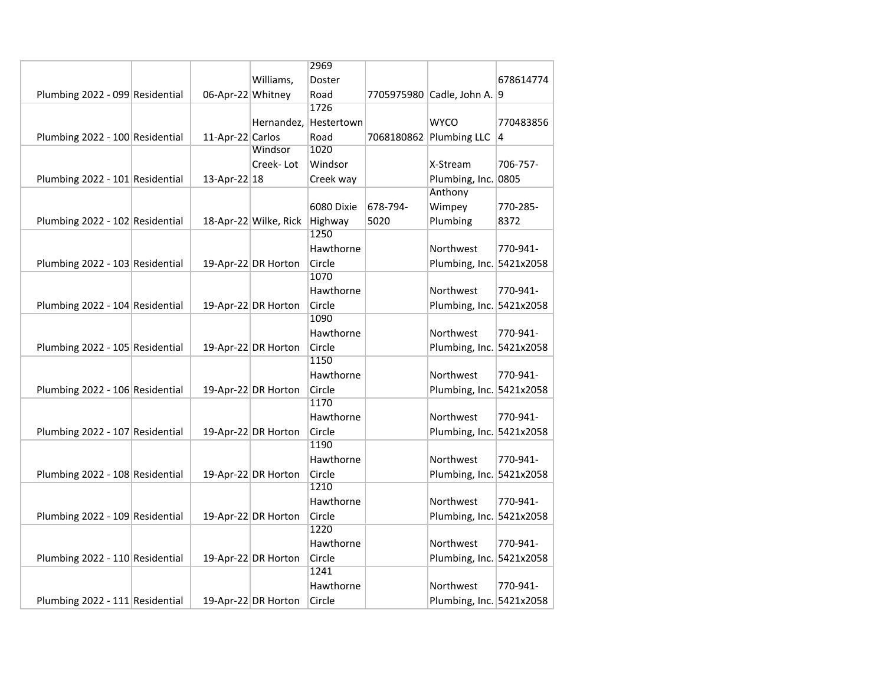|                                 |                   |                       | 2969       |            |                             |           |
|---------------------------------|-------------------|-----------------------|------------|------------|-----------------------------|-----------|
|                                 |                   | Williams,             | Doster     |            |                             | 678614774 |
| Plumbing 2022 - 099 Residential | 06-Apr-22 Whitney |                       | Road       |            | 7705975980 Cadle, John A. 9 |           |
|                                 |                   |                       | 1726       |            |                             |           |
|                                 |                   | Hernandez.            | Hestertown |            | <b>WYCO</b>                 | 770483856 |
| Plumbing 2022 - 100 Residential | 11-Apr-22 Carlos  |                       | Road       | 7068180862 | Plumbing LLC                | 4         |
|                                 |                   | Windsor               | 1020       |            |                             |           |
|                                 |                   | Creek-Lot             | Windsor    |            | X-Stream                    | 706-757-  |
| Plumbing 2022 - 101 Residential | 13-Apr-22 18      |                       | Creek way  |            | Plumbing, Inc. 0805         |           |
|                                 |                   |                       |            |            | Anthony                     |           |
|                                 |                   |                       | 6080 Dixie | 678-794-   | Wimpey                      | 770-285-  |
| Plumbing 2022 - 102 Residential |                   | 18-Apr-22 Wilke, Rick | Highway    | 5020       | Plumbing                    | 8372      |
|                                 |                   |                       | 1250       |            |                             |           |
|                                 |                   |                       | Hawthorne  |            | Northwest                   | 770-941-  |
| Plumbing 2022 - 103 Residential |                   | 19-Apr-22 DR Horton   | Circle     |            | Plumbing, Inc. 5421x2058    |           |
|                                 |                   |                       | 1070       |            |                             |           |
|                                 |                   |                       | Hawthorne  |            | Northwest                   | 770-941-  |
| Plumbing 2022 - 104 Residential |                   | 19-Apr-22 DR Horton   | Circle     |            | Plumbing, Inc. 5421x2058    |           |
|                                 |                   |                       | 1090       |            |                             |           |
|                                 |                   |                       | Hawthorne  |            | Northwest                   | 770-941-  |
| Plumbing 2022 - 105 Residential |                   | 19-Apr-22 DR Horton   | Circle     |            | Plumbing, Inc. 5421x2058    |           |
|                                 |                   |                       | 1150       |            |                             |           |
|                                 |                   |                       | Hawthorne  |            | Northwest                   | 770-941-  |
| Plumbing 2022 - 106 Residential |                   | 19-Apr-22 DR Horton   | Circle     |            | Plumbing, Inc. 5421x2058    |           |
|                                 |                   |                       | 1170       |            |                             |           |
|                                 |                   |                       | Hawthorne  |            | Northwest                   | 770-941-  |
| Plumbing 2022 - 107 Residential |                   | 19-Apr-22 DR Horton   | Circle     |            | Plumbing, Inc. 5421x2058    |           |
|                                 |                   |                       | 1190       |            |                             |           |
|                                 |                   |                       | Hawthorne  |            | Northwest                   | 770-941-  |
| Plumbing 2022 - 108 Residential |                   | 19-Apr-22 DR Horton   | Circle     |            | Plumbing, Inc. 5421x2058    |           |
|                                 |                   |                       | 1210       |            |                             |           |
|                                 |                   |                       | Hawthorne  |            | Northwest                   | 770-941-  |
| Plumbing 2022 - 109 Residential |                   | 19-Apr-22 DR Horton   | Circle     |            | Plumbing, Inc. 5421x2058    |           |
|                                 |                   |                       | 1220       |            |                             |           |
|                                 |                   |                       | Hawthorne  |            | Northwest                   | 770-941-  |
| Plumbing 2022 - 110 Residential |                   | 19-Apr-22 DR Horton   | Circle     |            | Plumbing, Inc. 5421x2058    |           |
|                                 |                   |                       | 1241       |            |                             |           |
|                                 |                   |                       | Hawthorne  |            | Northwest                   | 770-941-  |
| Plumbing 2022 - 111 Residential |                   | 19-Apr-22 DR Horton   | Circle     |            | Plumbing, Inc. 5421x2058    |           |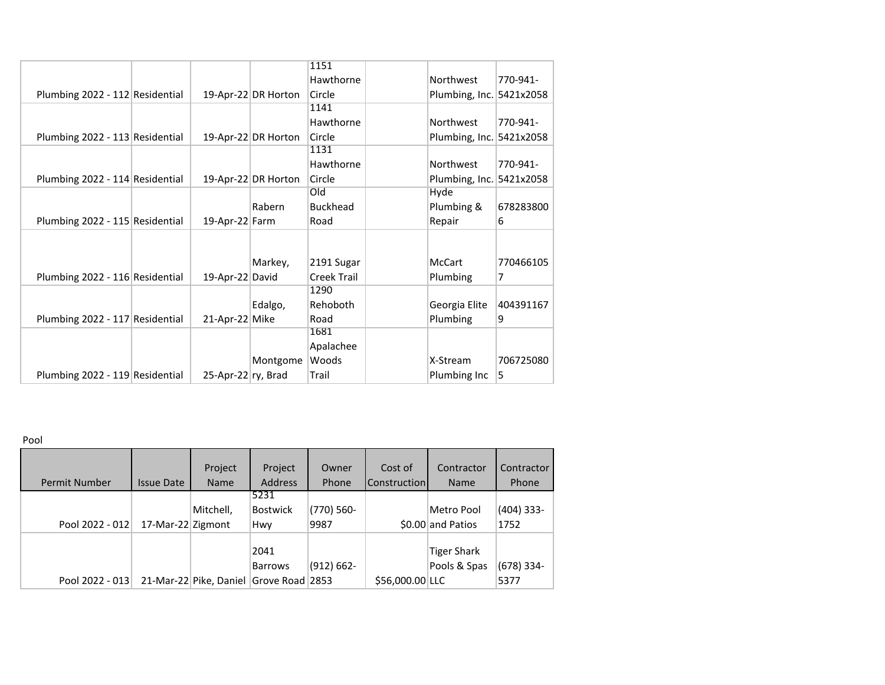|                                 |                        |                     | 1151               |                          |           |
|---------------------------------|------------------------|---------------------|--------------------|--------------------------|-----------|
|                                 |                        |                     | Hawthorne          | <b>Northwest</b>         | 770-941-  |
| Plumbing 2022 - 112 Residential |                        | 19-Apr-22 DR Horton | Circle             | Plumbing, Inc.           | 5421x2058 |
|                                 |                        |                     | 1141               |                          |           |
|                                 |                        |                     | Hawthorne          | <b>Northwest</b>         | 770-941-  |
| Plumbing 2022 - 113 Residential |                        | 19-Apr-22 DR Horton | Circle             | Plumbing, Inc. 5421x2058 |           |
|                                 |                        |                     | 1131               |                          |           |
|                                 |                        |                     | Hawthorne          | <b>Northwest</b>         | 770-941-  |
| Plumbing 2022 - 114 Residential |                        | 19-Apr-22 DR Horton | Circle             | Plumbing, Inc. 5421x2058 |           |
|                                 |                        |                     | Old                | <b>Hyde</b>              |           |
|                                 |                        | Rabern              | <b>Buckhead</b>    | Plumbing &               | 678283800 |
| Plumbing 2022 - 115 Residential | 19-Apr-22 Farm         |                     | Road               | Repair                   | 6         |
|                                 |                        |                     |                    |                          |           |
|                                 |                        |                     |                    |                          |           |
|                                 |                        | Markey,             | 2191 Sugar         | <b>McCart</b>            | 770466105 |
| Plumbing 2022 - 116 Residential | 19-Apr-22 David        |                     | <b>Creek Trail</b> | Plumbing                 | 7         |
|                                 |                        |                     | 1290               |                          |           |
|                                 |                        | Edalgo,             | Rehoboth           | Georgia Elite            | 404391167 |
| Plumbing 2022 - 117 Residential | 21-Apr-22 Mike         |                     | Road               | Plumbing                 | 9         |
|                                 |                        |                     | 1681               |                          |           |
|                                 |                        |                     | Apalachee          |                          |           |
|                                 |                        | Montgome            | Woods              | X-Stream                 | 706725080 |
| Plumbing 2022 - 119 Residential | 25-Apr-22 $ ry$ , Brad |                     | Trail              | Plumbing Inc             | 5         |

Pool

|                 |                   | Project                                | Project         | Owner         | Cost of         | Contractor         | Contractor   |
|-----------------|-------------------|----------------------------------------|-----------------|---------------|-----------------|--------------------|--------------|
| Permit Number   | <b>Issue Date</b> | <b>Name</b>                            | <b>Address</b>  | Phone         | Construction    | <b>Name</b>        | Phone        |
|                 |                   |                                        | 5231            |               |                 |                    |              |
|                 |                   | Mitchell,                              | <b>Bostwick</b> | $(770)$ 560-  |                 | Metro Pool         | $(404)$ 333- |
| Pool 2022 - 012 | 17-Mar-22 Zigmont |                                        | Hwy.            | 9987          |                 | \$0.00 and Patios  | 1752         |
|                 |                   |                                        | 2041            |               |                 | <b>Tiger Shark</b> |              |
|                 |                   |                                        | <b>Barrows</b>  | $(912) 662 -$ |                 | Pools & Spas       | $(678)$ 334- |
| Pool 2022 - 013 |                   | 21-Mar-22 Pike, Daniel Grove Road 2853 |                 |               | \$56,000.00 LLC |                    | 5377         |